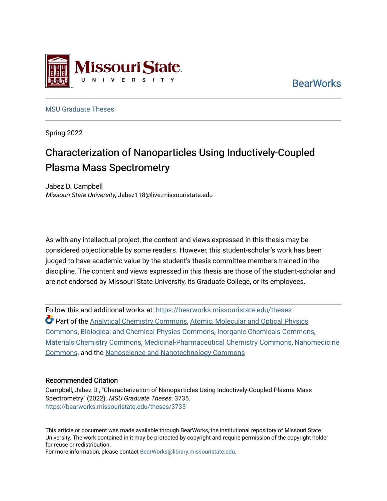

**BearWorks** 

[MSU Graduate Theses](https://bearworks.missouristate.edu/theses) 

Spring 2022

## Characterization of Nanoparticles Using Inductively-Coupled Plasma Mass Spectrometry

Jabez D. Campbell Missouri State University, Jabez118@live.missouristate.edu

As with any intellectual project, the content and views expressed in this thesis may be considered objectionable by some readers. However, this student-scholar's work has been judged to have academic value by the student's thesis committee members trained in the discipline. The content and views expressed in this thesis are those of the student-scholar and are not endorsed by Missouri State University, its Graduate College, or its employees.

Follow this and additional works at: [https://bearworks.missouristate.edu/theses](https://bearworks.missouristate.edu/theses?utm_source=bearworks.missouristate.edu%2Ftheses%2F3735&utm_medium=PDF&utm_campaign=PDFCoverPages)  **C** Part of the [Analytical Chemistry Commons](https://network.bepress.com/hgg/discipline/132?utm_source=bearworks.missouristate.edu%2Ftheses%2F3735&utm_medium=PDF&utm_campaign=PDFCoverPages), Atomic, Molecular and Optical Physics [Commons,](https://network.bepress.com/hgg/discipline/195?utm_source=bearworks.missouristate.edu%2Ftheses%2F3735&utm_medium=PDF&utm_campaign=PDFCoverPages) [Biological and Chemical Physics Commons](https://network.bepress.com/hgg/discipline/196?utm_source=bearworks.missouristate.edu%2Ftheses%2F3735&utm_medium=PDF&utm_campaign=PDFCoverPages), [Inorganic Chemicals Commons](https://network.bepress.com/hgg/discipline/975?utm_source=bearworks.missouristate.edu%2Ftheses%2F3735&utm_medium=PDF&utm_campaign=PDFCoverPages), [Materials Chemistry Commons,](https://network.bepress.com/hgg/discipline/135?utm_source=bearworks.missouristate.edu%2Ftheses%2F3735&utm_medium=PDF&utm_campaign=PDFCoverPages) [Medicinal-Pharmaceutical Chemistry Commons](https://network.bepress.com/hgg/discipline/136?utm_source=bearworks.missouristate.edu%2Ftheses%2F3735&utm_medium=PDF&utm_campaign=PDFCoverPages), [Nanomedicine](https://network.bepress.com/hgg/discipline/1252?utm_source=bearworks.missouristate.edu%2Ftheses%2F3735&utm_medium=PDF&utm_campaign=PDFCoverPages) [Commons,](https://network.bepress.com/hgg/discipline/1252?utm_source=bearworks.missouristate.edu%2Ftheses%2F3735&utm_medium=PDF&utm_campaign=PDFCoverPages) and the [Nanoscience and Nanotechnology Commons](https://network.bepress.com/hgg/discipline/313?utm_source=bearworks.missouristate.edu%2Ftheses%2F3735&utm_medium=PDF&utm_campaign=PDFCoverPages) 

#### Recommended Citation

Campbell, Jabez D., "Characterization of Nanoparticles Using Inductively-Coupled Plasma Mass Spectrometry" (2022). MSU Graduate Theses. 3735. [https://bearworks.missouristate.edu/theses/3735](https://bearworks.missouristate.edu/theses/3735?utm_source=bearworks.missouristate.edu%2Ftheses%2F3735&utm_medium=PDF&utm_campaign=PDFCoverPages) 

This article or document was made available through BearWorks, the institutional repository of Missouri State University. The work contained in it may be protected by copyright and require permission of the copyright holder for reuse or redistribution.

For more information, please contact [BearWorks@library.missouristate.edu.](mailto:BearWorks@library.missouristate.edu)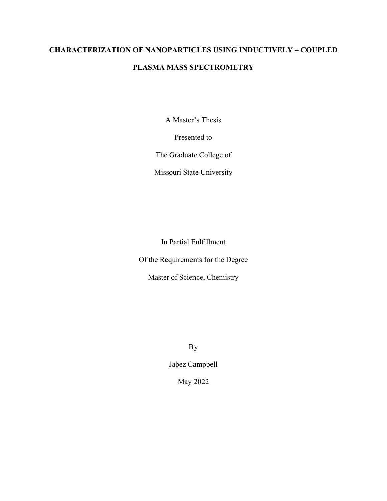# **CHARACTERIZATION OF NANOPARTICLES USING INDUCTIVELY – COUPLED**

## **PLASMA MASS SPECTROMETRY**

A Master's Thesis

Presented to

The Graduate College of

Missouri State University

In Partial Fulfillment

Of the Requirements for the Degree

Master of Science, Chemistry

By

Jabez Campbell

May 2022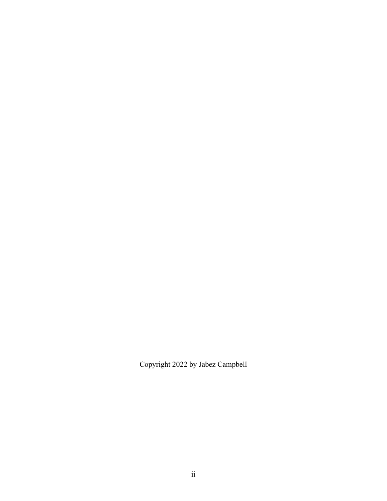Copyright 2022 by Jabez Campbell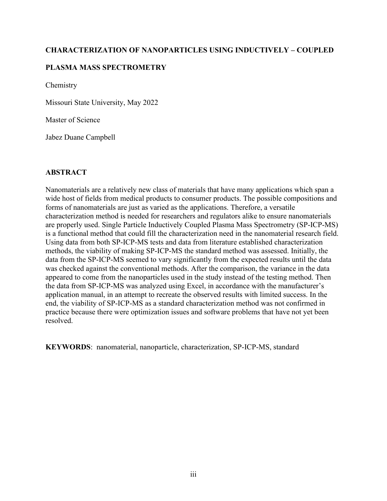#### **CHARACTERIZATION OF NANOPARTICLES USING INDUCTIVELY – COUPLED**

#### **PLASMA MASS SPECTROMETRY**

Chemistry

Missouri State University, May 2022

Master of Science

Jabez Duane Campbell

#### **ABSTRACT**

Nanomaterials are a relatively new class of materials that have many applications which span a wide host of fields from medical products to consumer products. The possible compositions and forms of nanomaterials are just as varied as the applications. Therefore, a versatile characterization method is needed for researchers and regulators alike to ensure nanomaterials are properly used. Single Particle Inductively Coupled Plasma Mass Spectrometry (SP-ICP-MS) is a functional method that could fill the characterization need in the nanomaterial research field. Using data from both SP-ICP-MS tests and data from literature established characterization methods, the viability of making SP-ICP-MS the standard method was assessed. Initially, the data from the SP-ICP-MS seemed to vary significantly from the expected results until the data was checked against the conventional methods. After the comparison, the variance in the data appeared to come from the nanoparticles used in the study instead of the testing method. Then the data from SP-ICP-MS was analyzed using Excel, in accordance with the manufacturer's application manual, in an attempt to recreate the observed results with limited success. In the end, the viability of SP-ICP-MS as a standard characterization method was not confirmed in practice because there were optimization issues and software problems that have not yet been resolved.

**KEYWORDS**: nanomaterial, nanoparticle, characterization, SP-ICP-MS, standard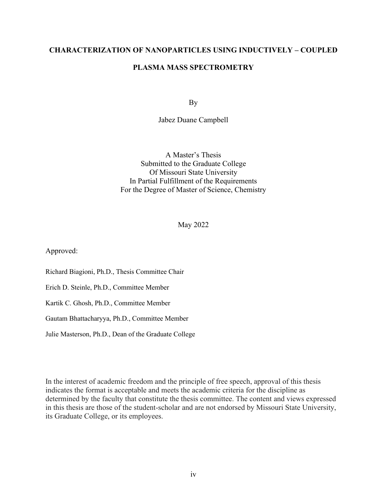#### **CHARACTERIZATION OF NANOPARTICLES USING INDUCTIVELY – COUPLED**

#### **PLASMA MASS SPECTROMETRY**

By

Jabez Duane Campbell

A Master's Thesis Submitted to the Graduate College Of Missouri State University In Partial Fulfillment of the Requirements For the Degree of Master of Science, Chemistry

May 2022

Approved:

Richard Biagioni, Ph.D., Thesis Committee Chair

Erich D. Steinle, Ph.D., Committee Member

Kartik C. Ghosh, Ph.D., Committee Member

Gautam Bhattacharyya, Ph.D., Committee Member

Julie Masterson, Ph.D., Dean of the Graduate College

In the interest of academic freedom and the principle of free speech, approval of this thesis indicates the format is acceptable and meets the academic criteria for the discipline as determined by the faculty that constitute the thesis committee. The content and views expressed in this thesis are those of the student-scholar and are not endorsed by Missouri State University, its Graduate College, or its employees.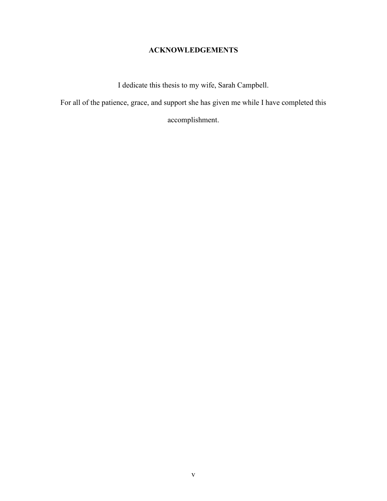## **ACKNOWLEDGEMENTS**

I dedicate this thesis to my wife, Sarah Campbell.

For all of the patience, grace, and support she has given me while I have completed this

accomplishment.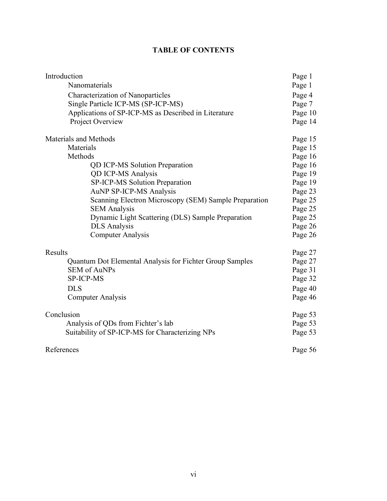### **TABLE OF CONTENTS**

| Introduction                                             | Page 1  |
|----------------------------------------------------------|---------|
| Nanomaterials                                            | Page 1  |
| Characterization of Nanoparticles                        | Page 4  |
| Single Particle ICP-MS (SP-ICP-MS)                       | Page 7  |
| Applications of SP-ICP-MS as Described in Literature     | Page 10 |
| Project Overview                                         | Page 14 |
| Materials and Methods                                    | Page 15 |
| Materials                                                | Page 15 |
| Methods                                                  | Page 16 |
| <b>QD ICP-MS Solution Preparation</b>                    | Page 16 |
| <b>QD ICP-MS Analysis</b>                                | Page 19 |
| <b>SP-ICP-MS Solution Preparation</b>                    | Page 19 |
| AuNP SP-ICP-MS Analysis                                  | Page 23 |
| Scanning Electron Microscopy (SEM) Sample Preparation    | Page 25 |
| <b>SEM Analysis</b>                                      | Page 25 |
| Dynamic Light Scattering (DLS) Sample Preparation        | Page 25 |
| <b>DLS</b> Analysis                                      | Page 26 |
| <b>Computer Analysis</b>                                 | Page 26 |
| Results                                                  | Page 27 |
| Quantum Dot Elemental Analysis for Fichter Group Samples | Page 27 |
| <b>SEM of AuNPs</b>                                      | Page 31 |
| <b>SP-ICP-MS</b>                                         | Page 32 |
| <b>DLS</b>                                               | Page 40 |
| <b>Computer Analysis</b>                                 | Page 46 |
| Conclusion                                               | Page 53 |
| Analysis of QDs from Fichter's lab                       | Page 53 |
| Suitability of SP-ICP-MS for Characterizing NPs          | Page 53 |
| References                                               | Page 56 |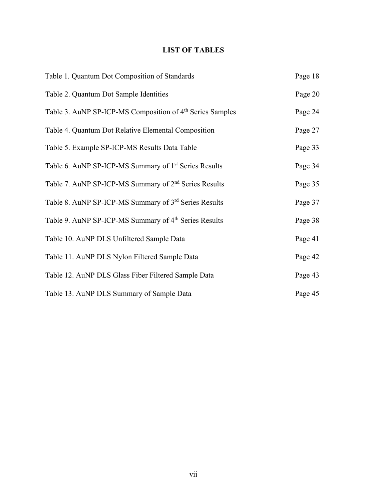## **LIST OF TABLES**

| Table 1. Quantum Dot Composition of Standards                         | Page 18 |
|-----------------------------------------------------------------------|---------|
| Table 2. Quantum Dot Sample Identities                                | Page 20 |
| Table 3. AuNP SP-ICP-MS Composition of 4 <sup>th</sup> Series Samples | Page 24 |
| Table 4. Quantum Dot Relative Elemental Composition                   | Page 27 |
| Table 5. Example SP-ICP-MS Results Data Table                         | Page 33 |
| Table 6. AuNP SP-ICP-MS Summary of 1 <sup>st</sup> Series Results     | Page 34 |
| Table 7. AuNP SP-ICP-MS Summary of 2 <sup>nd</sup> Series Results     | Page 35 |
| Table 8. AuNP SP-ICP-MS Summary of 3 <sup>rd</sup> Series Results     | Page 37 |
| Table 9. AuNP SP-ICP-MS Summary of 4 <sup>th</sup> Series Results     | Page 38 |
| Table 10. AuNP DLS Unfiltered Sample Data                             | Page 41 |
| Table 11. AuNP DLS Nylon Filtered Sample Data                         | Page 42 |
| Table 12. AuNP DLS Glass Fiber Filtered Sample Data                   | Page 43 |
| Table 13. AuNP DLS Summary of Sample Data                             | Page 45 |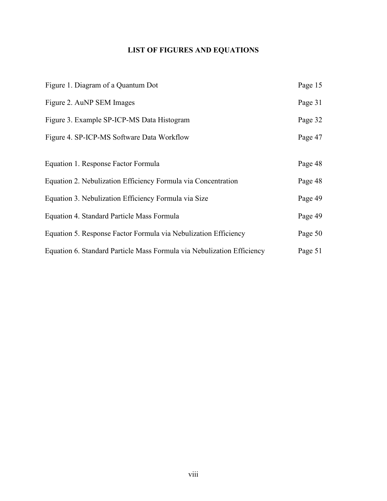## **LIST OF FIGURES AND EQUATIONS**

| Figure 1. Diagram of a Quantum Dot                                     | Page 15 |
|------------------------------------------------------------------------|---------|
| Figure 2. AuNP SEM Images                                              | Page 31 |
| Figure 3. Example SP-ICP-MS Data Histogram                             | Page 32 |
| Figure 4. SP-ICP-MS Software Data Workflow                             | Page 47 |
|                                                                        |         |
| Equation 1. Response Factor Formula                                    | Page 48 |
| Equation 2. Nebulization Efficiency Formula via Concentration          | Page 48 |
| Equation 3. Nebulization Efficiency Formula via Size                   | Page 49 |
| Equation 4. Standard Particle Mass Formula                             | Page 49 |
| Equation 5. Response Factor Formula via Nebulization Efficiency        | Page 50 |
| Equation 6. Standard Particle Mass Formula via Nebulization Efficiency | Page 51 |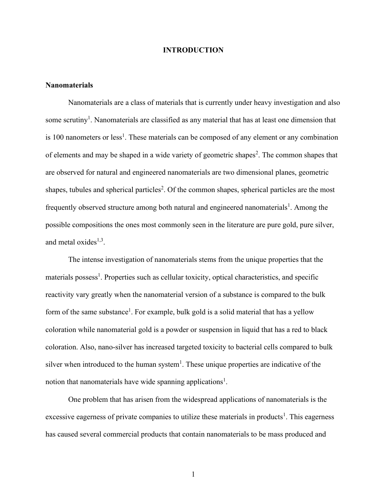#### **INTRODUCTION**

#### **Nanomaterials**

Nanomaterials are a class of materials that is currently under heavy investigation and also some scrutiny<sup>1</sup>. Nanomaterials are classified as any material that has at least one dimension that is 100 nanometers or less<sup>1</sup>. These materials can be composed of any element or any combination of elements and may be shaped in a wide variety of geometric shapes<sup>2</sup>. The common shapes that are observed for natural and engineered nanomaterials are two dimensional planes, geometric shapes, tubules and spherical particles<sup>2</sup>. Of the common shapes, spherical particles are the most frequently observed structure among both natural and engineered nanomaterials<sup>1</sup>. Among the possible compositions the ones most commonly seen in the literature are pure gold, pure silver, and metal oxides<sup>1,3</sup>.

The intense investigation of nanomaterials stems from the unique properties that the materials possess<sup>1</sup>. Properties such as cellular toxicity, optical characteristics, and specific reactivity vary greatly when the nanomaterial version of a substance is compared to the bulk form of the same substance<sup>1</sup>. For example, bulk gold is a solid material that has a yellow coloration while nanomaterial gold is a powder or suspension in liquid that has a red to black coloration. Also, nano-silver has increased targeted toxicity to bacterial cells compared to bulk silver when introduced to the human system<sup>1</sup>. These unique properties are indicative of the notion that nanomaterials have wide spanning applications<sup>1</sup>.

One problem that has arisen from the widespread applications of nanomaterials is the excessive eagerness of private companies to utilize these materials in products<sup>1</sup>. This eagerness has caused several commercial products that contain nanomaterials to be mass produced and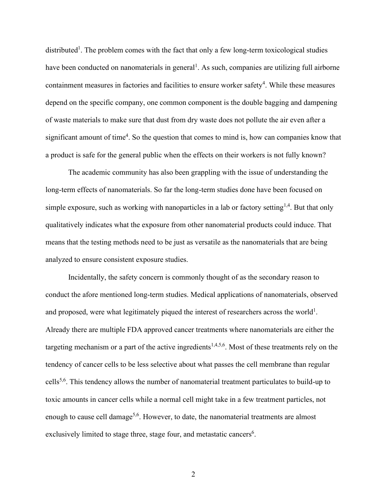distributed<sup>1</sup>. The problem comes with the fact that only a few long-term toxicological studies have been conducted on nanomaterials in general<sup>1</sup>. As such, companies are utilizing full airborne containment measures in factories and facilities to ensure worker safety<sup>4</sup>. While these measures depend on the specific company, one common component is the double bagging and dampening of waste materials to make sure that dust from dry waste does not pollute the air even after a significant amount of time<sup>4</sup>. So the question that comes to mind is, how can companies know that a product is safe for the general public when the effects on their workers is not fully known?

The academic community has also been grappling with the issue of understanding the long-term effects of nanomaterials. So far the long-term studies done have been focused on simple exposure, such as working with nanoparticles in a lab or factory setting<sup>1,4</sup>. But that only qualitatively indicates what the exposure from other nanomaterial products could induce. That means that the testing methods need to be just as versatile as the nanomaterials that are being analyzed to ensure consistent exposure studies.

Incidentally, the safety concern is commonly thought of as the secondary reason to conduct the afore mentioned long-term studies. Medical applications of nanomaterials, observed and proposed, were what legitimately piqued the interest of researchers across the world<sup>1</sup>. Already there are multiple FDA approved cancer treatments where nanomaterials are either the targeting mechanism or a part of the active ingredients<sup>1,4,5,6</sup>. Most of these treatments rely on the tendency of cancer cells to be less selective about what passes the cell membrane than regular cells5,6. This tendency allows the number of nanomaterial treatment particulates to build-up to toxic amounts in cancer cells while a normal cell might take in a few treatment particles, not enough to cause cell damage<sup>5,6</sup>. However, to date, the nanomaterial treatments are almost exclusively limited to stage three, stage four, and metastatic cancers<sup>6</sup>.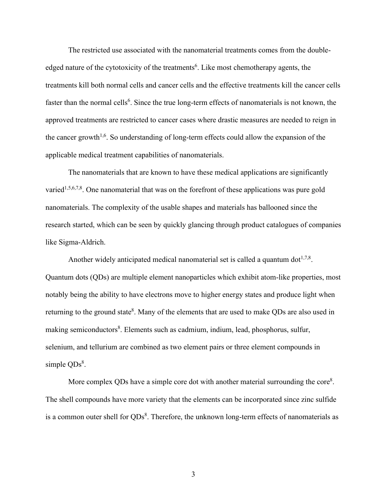The restricted use associated with the nanomaterial treatments comes from the doubleedged nature of the cytotoxicity of the treatments<sup>6</sup>. Like most chemotherapy agents, the treatments kill both normal cells and cancer cells and the effective treatments kill the cancer cells faster than the normal cells<sup>6</sup>. Since the true long-term effects of nanomaterials is not known, the approved treatments are restricted to cancer cases where drastic measures are needed to reign in the cancer growth<sup>1,6</sup>. So understanding of long-term effects could allow the expansion of the applicable medical treatment capabilities of nanomaterials.

The nanomaterials that are known to have these medical applications are significantly varied<sup>1,5,6,7,8</sup>. One nanomaterial that was on the forefront of these applications was pure gold nanomaterials. The complexity of the usable shapes and materials has ballooned since the research started, which can be seen by quickly glancing through product catalogues of companies like Sigma-Aldrich.

Another widely anticipated medical nanomaterial set is called a quantum dot<sup>1,7,8</sup>. Quantum dots (QDs) are multiple element nanoparticles which exhibit atom-like properties, most notably being the ability to have electrons move to higher energy states and produce light when returning to the ground state<sup>8</sup>. Many of the elements that are used to make QDs are also used in making semiconductors<sup>8</sup>. Elements such as cadmium, indium, lead, phosphorus, sulfur, selenium, and tellurium are combined as two element pairs or three element compounds in simple  $QDs<sup>8</sup>$ .

More complex QDs have a simple core dot with another material surrounding the core<sup>8</sup>. The shell compounds have more variety that the elements can be incorporated since zinc sulfide is a common outer shell for  $QDs<sup>8</sup>$ . Therefore, the unknown long-term effects of nanomaterials as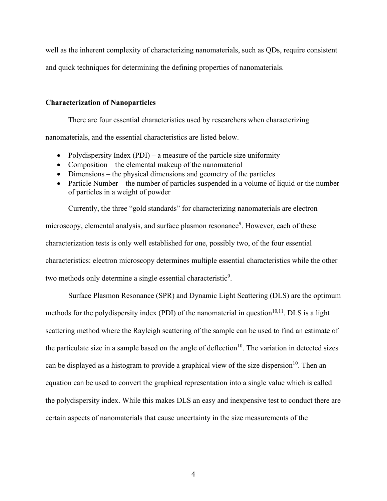well as the inherent complexity of characterizing nanomaterials, such as QDs, require consistent and quick techniques for determining the defining properties of nanomaterials.

#### **Characterization of Nanoparticles**

There are four essential characteristics used by researchers when characterizing

nanomaterials, and the essential characteristics are listed below.

- Polydispersity Index (PDI) a measure of the particle size uniformity
- Composition the elemental makeup of the nanomaterial
- Dimensions the physical dimensions and geometry of the particles
- Particle Number the number of particles suspended in a volume of liquid or the number of particles in a weight of powder

Currently, the three "gold standards" for characterizing nanomaterials are electron microscopy, elemental analysis, and surface plasmon resonance<sup>9</sup>. However, each of these characterization tests is only well established for one, possibly two, of the four essential characteristics: electron microscopy determines multiple essential characteristics while the other two methods only determine a single essential characteristic<sup>9</sup>.

Surface Plasmon Resonance (SPR) and Dynamic Light Scattering (DLS) are the optimum methods for the polydispersity index (PDI) of the nanomaterial in question<sup>10,11</sup>. DLS is a light scattering method where the Rayleigh scattering of the sample can be used to find an estimate of the particulate size in a sample based on the angle of deflection<sup>10</sup>. The variation in detected sizes can be displayed as a histogram to provide a graphical view of the size dispersion<sup>10</sup>. Then an equation can be used to convert the graphical representation into a single value which is called the polydispersity index. While this makes DLS an easy and inexpensive test to conduct there are certain aspects of nanomaterials that cause uncertainty in the size measurements of the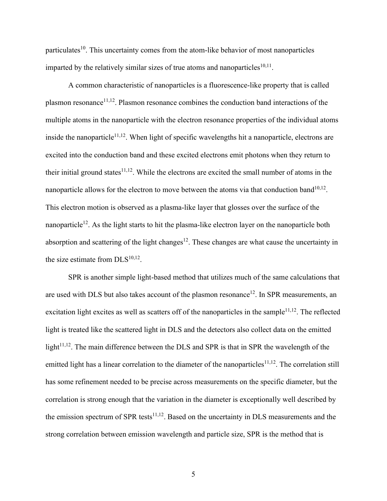particulates<sup>10</sup>. This uncertainty comes from the atom-like behavior of most nanoparticles imparted by the relatively similar sizes of true atoms and nanoparticles  $10,11$ .

A common characteristic of nanoparticles is a fluorescence-like property that is called plasmon resonance<sup>11,12</sup>. Plasmon resonance combines the conduction band interactions of the multiple atoms in the nanoparticle with the electron resonance properties of the individual atoms inside the nanoparticle<sup>11,12</sup>. When light of specific wavelengths hit a nanoparticle, electrons are excited into the conduction band and these excited electrons emit photons when they return to their initial ground states<sup>11,12</sup>. While the electrons are excited the small number of atoms in the nanoparticle allows for the electron to move between the atoms via that conduction band<sup>10,12</sup>. This electron motion is observed as a plasma-like layer that glosses over the surface of the nanoparticle<sup>12</sup>. As the light starts to hit the plasma-like electron layer on the nanoparticle both absorption and scattering of the light changes<sup>12</sup>. These changes are what cause the uncertainty in the size estimate from  $DLS^{10,12}$ .

SPR is another simple light-based method that utilizes much of the same calculations that are used with DLS but also takes account of the plasmon resonance<sup>12</sup>. In SPR measurements, an excitation light excites as well as scatters off of the nanoparticles in the sample $11,12$ . The reflected light is treated like the scattered light in DLS and the detectors also collect data on the emitted light<sup>11,12</sup>. The main difference between the DLS and SPR is that in SPR the wavelength of the emitted light has a linear correlation to the diameter of the nanoparticles<sup>11,12</sup>. The correlation still has some refinement needed to be precise across measurements on the specific diameter, but the correlation is strong enough that the variation in the diameter is exceptionally well described by the emission spectrum of SPR tests $11,12$ . Based on the uncertainty in DLS measurements and the strong correlation between emission wavelength and particle size, SPR is the method that is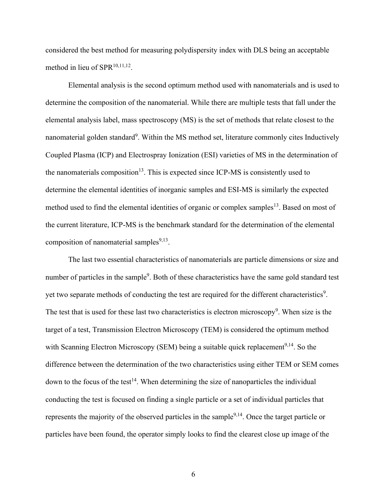considered the best method for measuring polydispersity index with DLS being an acceptable method in lieu of  $SPR^{10,11,12}$ .

Elemental analysis is the second optimum method used with nanomaterials and is used to determine the composition of the nanomaterial. While there are multiple tests that fall under the elemental analysis label, mass spectroscopy (MS) is the set of methods that relate closest to the nanomaterial golden standard<sup>9</sup>. Within the MS method set, literature commonly cites Inductively Coupled Plasma (ICP) and Electrospray Ionization (ESI) varieties of MS in the determination of the nanomaterials composition<sup>13</sup>. This is expected since ICP-MS is consistently used to determine the elemental identities of inorganic samples and ESI-MS is similarly the expected method used to find the elemental identities of organic or complex samples<sup>13</sup>. Based on most of the current literature, ICP-MS is the benchmark standard for the determination of the elemental composition of nanomaterial samples $9,13$ .

The last two essential characteristics of nanomaterials are particle dimensions or size and number of particles in the sample<sup>9</sup>. Both of these characteristics have the same gold standard test yet two separate methods of conducting the test are required for the different characteristics<sup>9</sup>. The test that is used for these last two characteristics is electron microscopy<sup>9</sup>. When size is the target of a test, Transmission Electron Microscopy (TEM) is considered the optimum method with Scanning Electron Microscopy (SEM) being a suitable quick replacement<sup>9,14</sup>. So the difference between the determination of the two characteristics using either TEM or SEM comes down to the focus of the test<sup>14</sup>. When determining the size of nanoparticles the individual conducting the test is focused on finding a single particle or a set of individual particles that represents the majority of the observed particles in the sample<sup>9,14</sup>. Once the target particle or particles have been found, the operator simply looks to find the clearest close up image of the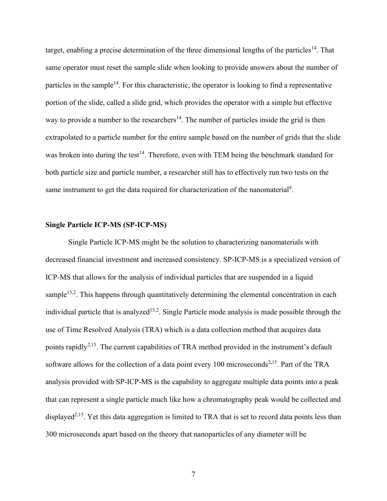target, enabling a precise determination of the three dimensional lengths of the particles<sup>14</sup>. That same operator must reset the sample slide when looking to provide answers about the number of particles in the sample<sup>14</sup>. For this characteristic, the operator is looking to find a representative portion of the slide, called a slide grid, which provides the operator with a simple but effective way to provide a number to the researchers<sup>14</sup>. The number of particles inside the grid is then extrapolated to a particle number for the entire sample based on the number of grids that the slide was broken into during the test<sup>14</sup>. Therefore, even with TEM being the benchmark standard for both particle size and particle number, a researcher still has to effectively run two tests on the same instrument to get the data required for characterization of the nanomaterial<sup>9</sup>.

#### **Single Particle ICP-MS (SP-ICP-MS)**

Single Particle ICP-MS might be the solution to characterizing nanomaterials with decreased financial investment and increased consistency. SP-ICP-MS is a specialized version of ICP-MS that allows for the analysis of individual particles that are suspended in a liquid sample<sup>15,2</sup>. This happens through quantitatively determining the elemental concentration in each individual particle that is analyzed<sup>15,2</sup>. Single Particle mode analysis is made possible through the use of Time Resolved Analysis (TRA) which is a data collection method that acquires data points rapidly<sup>2,15</sup>. The current capabilities of TRA method provided in the instrument's default software allows for the collection of a data point every 100 microseconds<sup>2,15</sup>. Part of the TRA analysis provided with SP-ICP-MS is the capability to aggregate multiple data points into a peak that can represent a single particle much like how a chromatography peak would be collected and displayed<sup>2,15</sup>. Yet this data aggregation is limited to TRA that is set to record data points less than 300 microseconds apart based on the theory that nanoparticles of any diameter will be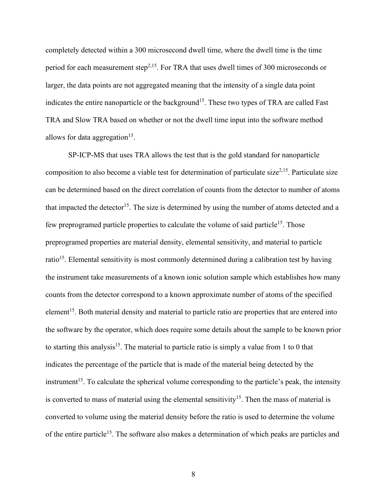completely detected within a 300 microsecond dwell time, where the dwell time is the time period for each measurement step<sup>2,15</sup>. For TRA that uses dwell times of 300 microseconds or larger, the data points are not aggregated meaning that the intensity of a single data point indicates the entire nanoparticle or the background<sup>15</sup>. These two types of TRA are called Fast TRA and Slow TRA based on whether or not the dwell time input into the software method allows for data aggregation<sup>15</sup>.

SP-ICP-MS that uses TRA allows the test that is the gold standard for nanoparticle composition to also become a viable test for determination of particulate size<sup>2,15</sup>. Particulate size can be determined based on the direct correlation of counts from the detector to number of atoms that impacted the detector<sup>15</sup>. The size is determined by using the number of atoms detected and a few preprogramed particle properties to calculate the volume of said particle<sup>15</sup>. Those preprogramed properties are material density, elemental sensitivity, and material to particle ratio<sup>15</sup>. Elemental sensitivity is most commonly determined during a calibration test by having the instrument take measurements of a known ionic solution sample which establishes how many counts from the detector correspond to a known approximate number of atoms of the specified element<sup>15</sup>. Both material density and material to particle ratio are properties that are entered into the software by the operator, which does require some details about the sample to be known prior to starting this analysis<sup>15</sup>. The material to particle ratio is simply a value from 1 to 0 that indicates the percentage of the particle that is made of the material being detected by the instrument<sup>15</sup>. To calculate the spherical volume corresponding to the particle's peak, the intensity is converted to mass of material using the elemental sensitivity<sup>15</sup>. Then the mass of material is converted to volume using the material density before the ratio is used to determine the volume of the entire particle<sup>15</sup>. The software also makes a determination of which peaks are particles and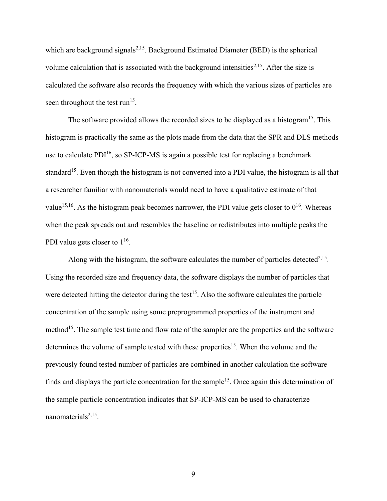which are background signals<sup>2,15</sup>. Background Estimated Diameter (BED) is the spherical volume calculation that is associated with the background intensities<sup> $2,15$ </sup>. After the size is calculated the software also records the frequency with which the various sizes of particles are seen throughout the test run<sup>15</sup>.

The software provided allows the recorded sizes to be displayed as a histogram<sup>15</sup>. This histogram is practically the same as the plots made from the data that the SPR and DLS methods use to calculate  $PDI^{16}$ , so SP-ICP-MS is again a possible test for replacing a benchmark standard<sup>15</sup>. Even though the histogram is not converted into a PDI value, the histogram is all that a researcher familiar with nanomaterials would need to have a qualitative estimate of that value<sup>15,16</sup>. As the histogram peak becomes narrower, the PDI value gets closer to  $0^{16}$ . Whereas when the peak spreads out and resembles the baseline or redistributes into multiple peaks the PDI value gets closer to  $1^{16}$ .

Along with the histogram, the software calculates the number of particles detected<sup>2,15</sup>. Using the recorded size and frequency data, the software displays the number of particles that were detected hitting the detector during the test<sup>15</sup>. Also the software calculates the particle concentration of the sample using some preprogrammed properties of the instrument and method<sup>15</sup>. The sample test time and flow rate of the sampler are the properties and the software determines the volume of sample tested with these properties<sup>15</sup>. When the volume and the previously found tested number of particles are combined in another calculation the software finds and displays the particle concentration for the sample<sup>15</sup>. Once again this determination of the sample particle concentration indicates that SP-ICP-MS can be used to characterize nanomaterials<sup>2,15</sup>.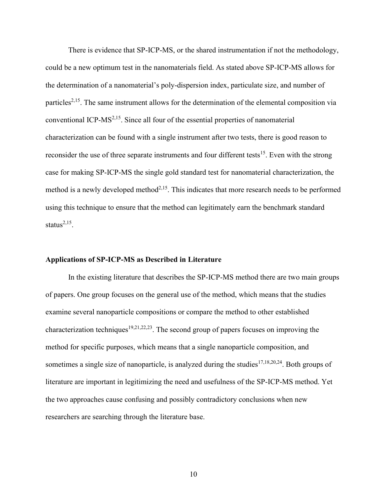There is evidence that SP-ICP-MS, or the shared instrumentation if not the methodology, could be a new optimum test in the nanomaterials field. As stated above SP-ICP-MS allows for the determination of a nanomaterial's poly-dispersion index, particulate size, and number of particles<sup>2,15</sup>. The same instrument allows for the determination of the elemental composition via conventional ICP-MS2,15. Since all four of the essential properties of nanomaterial characterization can be found with a single instrument after two tests, there is good reason to reconsider the use of three separate instruments and four different tests<sup>15</sup>. Even with the strong case for making SP-ICP-MS the single gold standard test for nanomaterial characterization, the method is a newly developed method<sup> $2,15$ </sup>. This indicates that more research needs to be performed using this technique to ensure that the method can legitimately earn the benchmark standard status $^{2,15}$ .

#### **Applications of SP-ICP-MS as Described in Literature**

In the existing literature that describes the SP-ICP-MS method there are two main groups of papers. One group focuses on the general use of the method, which means that the studies examine several nanoparticle compositions or compare the method to other established characterization techniques<sup>19,21,22,23</sup>. The second group of papers focuses on improving the method for specific purposes, which means that a single nanoparticle composition, and sometimes a single size of nanoparticle, is analyzed during the studies<sup>17,18,20,24</sup>. Both groups of literature are important in legitimizing the need and usefulness of the SP-ICP-MS method. Yet the two approaches cause confusing and possibly contradictory conclusions when new researchers are searching through the literature base.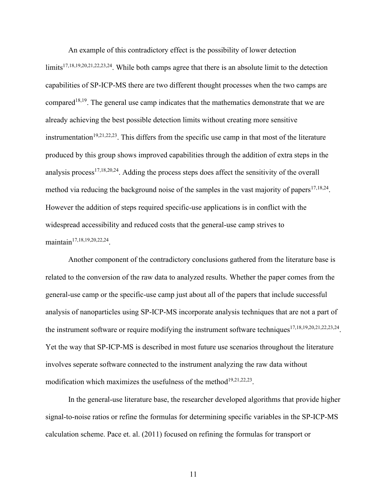An example of this contradictory effect is the possibility of lower detection limits<sup>17,18,19,20,21,22,23,24</sup>. While both camps agree that there is an absolute limit to the detection capabilities of SP-ICP-MS there are two different thought processes when the two camps are compared<sup>18,19</sup>. The general use camp indicates that the mathematics demonstrate that we are already achieving the best possible detection limits without creating more sensitive instrumentation<sup>19,21,22,23</sup>. This differs from the specific use camp in that most of the literature produced by this group shows improved capabilities through the addition of extra steps in the analysis process<sup>17,18,20,24</sup>. Adding the process steps does affect the sensitivity of the overall method via reducing the background noise of the samples in the vast majority of papers<sup>17,18,24</sup>. However the addition of steps required specific-use applications is in conflict with the widespread accessibility and reduced costs that the general-use camp strives to maintain<sup>17,18,19,20,22,24</sup>.

Another component of the contradictory conclusions gathered from the literature base is related to the conversion of the raw data to analyzed results. Whether the paper comes from the general-use camp or the specific-use camp just about all of the papers that include successful analysis of nanoparticles using SP-ICP-MS incorporate analysis techniques that are not a part of the instrument software or require modifying the instrument software techniques  $17,18,19,20,21,22,23,24$ . Yet the way that SP-ICP-MS is described in most future use scenarios throughout the literature involves seperate software connected to the instrument analyzing the raw data without modification which maximizes the usefulness of the method $19,21,22,23$ .

In the general-use literature base, the researcher developed algorithms that provide higher signal-to-noise ratios or refine the formulas for determining specific variables in the SP-ICP-MS calculation scheme. Pace et. al. (2011) focused on refining the formulas for transport or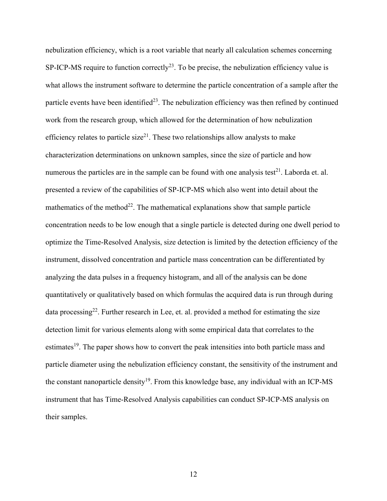nebulization efficiency, which is a root variable that nearly all calculation schemes concerning SP-ICP-MS require to function correctly<sup>23</sup>. To be precise, the nebulization efficiency value is what allows the instrument software to determine the particle concentration of a sample after the particle events have been identified<sup>23</sup>. The nebulization efficiency was then refined by continued work from the research group, which allowed for the determination of how nebulization efficiency relates to particle size<sup>21</sup>. These two relationships allow analysts to make characterization determinations on unknown samples, since the size of particle and how numerous the particles are in the sample can be found with one analysis test<sup>21</sup>. Laborda et. al. presented a review of the capabilities of SP-ICP-MS which also went into detail about the mathematics of the method<sup>22</sup>. The mathematical explanations show that sample particle concentration needs to be low enough that a single particle is detected during one dwell period to optimize the Time-Resolved Analysis, size detection is limited by the detection efficiency of the instrument, dissolved concentration and particle mass concentration can be differentiated by analyzing the data pulses in a frequency histogram, and all of the analysis can be done quantitatively or qualitatively based on which formulas the acquired data is run through during data processing<sup>22</sup>. Further research in Lee, et. al. provided a method for estimating the size detection limit for various elements along with some empirical data that correlates to the estimates<sup>19</sup>. The paper shows how to convert the peak intensities into both particle mass and particle diameter using the nebulization efficiency constant, the sensitivity of the instrument and the constant nanoparticle density<sup>19</sup>. From this knowledge base, any individual with an ICP-MS instrument that has Time-Resolved Analysis capabilities can conduct SP-ICP-MS analysis on their samples.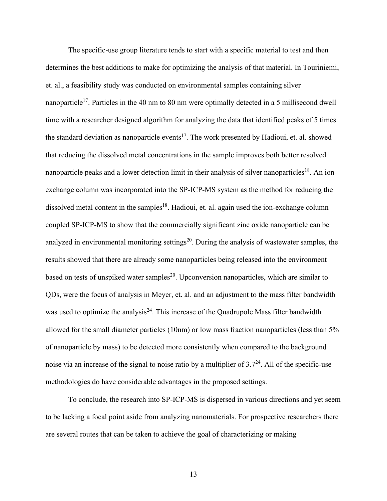The specific-use group literature tends to start with a specific material to test and then determines the best additions to make for optimizing the analysis of that material. In Touriniemi, et. al., a feasibility study was conducted on environmental samples containing silver nanoparticle<sup>17</sup>. Particles in the 40 nm to 80 nm were optimally detected in a 5 millisecond dwell time with a researcher designed algorithm for analyzing the data that identified peaks of 5 times the standard deviation as nanoparticle events<sup>17</sup>. The work presented by Hadioui, et. al. showed that reducing the dissolved metal concentrations in the sample improves both better resolved nanoparticle peaks and a lower detection limit in their analysis of silver nanoparticles<sup>18</sup>. An ionexchange column was incorporated into the SP-ICP-MS system as the method for reducing the dissolved metal content in the samples<sup>18</sup>. Hadioui, et. al. again used the ion-exchange column coupled SP-ICP-MS to show that the commercially significant zinc oxide nanoparticle can be analyzed in environmental monitoring settings<sup>20</sup>. During the analysis of wastewater samples, the results showed that there are already some nanoparticles being released into the environment based on tests of unspiked water samples<sup>20</sup>. Upconversion nanoparticles, which are similar to QDs, were the focus of analysis in Meyer, et. al. and an adjustment to the mass filter bandwidth was used to optimize the analysis<sup>24</sup>. This increase of the Quadrupole Mass filter bandwidth allowed for the small diameter particles (10nm) or low mass fraction nanoparticles (less than 5% of nanoparticle by mass) to be detected more consistently when compared to the background noise via an increase of the signal to noise ratio by a multiplier of  $3.7<sup>24</sup>$ . All of the specific-use methodologies do have considerable advantages in the proposed settings.

To conclude, the research into SP-ICP-MS is dispersed in various directions and yet seem to be lacking a focal point aside from analyzing nanomaterials. For prospective researchers there are several routes that can be taken to achieve the goal of characterizing or making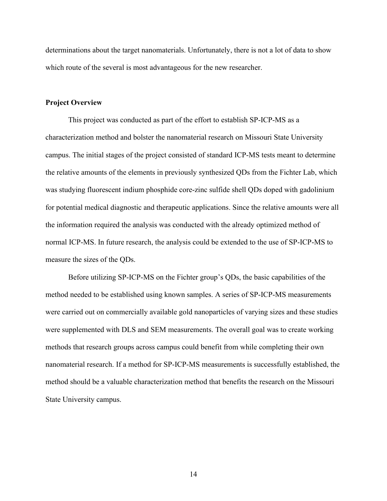determinations about the target nanomaterials. Unfortunately, there is not a lot of data to show which route of the several is most advantageous for the new researcher.

#### **Project Overview**

This project was conducted as part of the effort to establish SP-ICP-MS as a characterization method and bolster the nanomaterial research on Missouri State University campus. The initial stages of the project consisted of standard ICP-MS tests meant to determine the relative amounts of the elements in previously synthesized QDs from the Fichter Lab, which was studying fluorescent indium phosphide core-zinc sulfide shell QDs doped with gadolinium for potential medical diagnostic and therapeutic applications. Since the relative amounts were all the information required the analysis was conducted with the already optimized method of normal ICP-MS. In future research, the analysis could be extended to the use of SP-ICP-MS to measure the sizes of the QDs.

Before utilizing SP-ICP-MS on the Fichter group's QDs, the basic capabilities of the method needed to be established using known samples. A series of SP-ICP-MS measurements were carried out on commercially available gold nanoparticles of varying sizes and these studies were supplemented with DLS and SEM measurements. The overall goal was to create working methods that research groups across campus could benefit from while completing their own nanomaterial research. If a method for SP-ICP-MS measurements is successfully established, the method should be a valuable characterization method that benefits the research on the Missouri State University campus.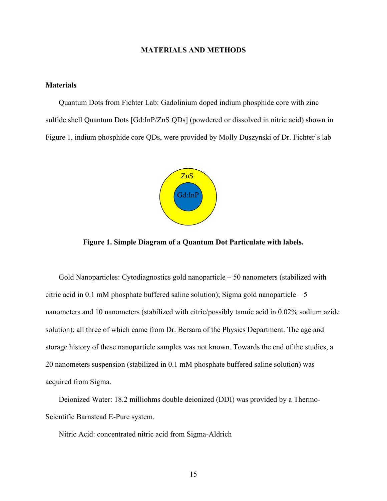#### **MATERIALS AND METHODS**

#### **Materials**

 Quantum Dots from Fichter Lab: Gadolinium doped indium phosphide core with zinc sulfide shell Quantum Dots [Gd:InP/ZnS QDs] (powdered or dissolved in nitric acid) shown in Figure 1, indium phosphide core QDs, were provided by Molly Duszynski of Dr. Fichter's lab



**Figure 1. Simple Diagram of a Quantum Dot Particulate with labels.**

 Gold Nanoparticles: Cytodiagnostics gold nanoparticle – 50 nanometers (stabilized with citric acid in 0.1 mM phosphate buffered saline solution); Sigma gold nanoparticle  $-5$ nanometers and 10 nanometers (stabilized with citric/possibly tannic acid in 0.02% sodium azide solution); all three of which came from Dr. Bersara of the Physics Department. The age and storage history of these nanoparticle samples was not known. Towards the end of the studies, a 20 nanometers suspension (stabilized in 0.1 mM phosphate buffered saline solution) was acquired from Sigma.

 Deionized Water: 18.2 milliohms double deionized (DDI) was provided by a Thermo-Scientific Barnstead E-Pure system.

Nitric Acid: concentrated nitric acid from Sigma-Aldrich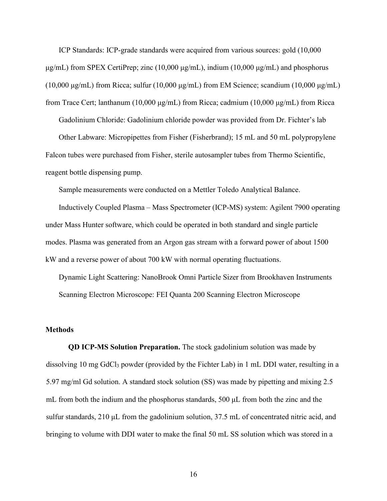ICP Standards: ICP-grade standards were acquired from various sources: gold (10,000  $\mu$ g/mL) from SPEX CertiPrep; zinc (10,000  $\mu$ g/mL), indium (10,000  $\mu$ g/mL) and phosphorus (10,000 μg/mL) from Ricca; sulfur (10,000 μg/mL) from EM Science; scandium (10,000 μg/mL) from Trace Cert; lanthanum (10,000 μg/mL) from Ricca; cadmium (10,000 μg/mL) from Ricca

Gadolinium Chloride: Gadolinium chloride powder was provided from Dr. Fichter's lab

 Other Labware: Micropipettes from Fisher (Fisherbrand); 15 mL and 50 mL polypropylene Falcon tubes were purchased from Fisher, sterile autosampler tubes from Thermo Scientific, reagent bottle dispensing pump.

Sample measurements were conducted on a Mettler Toledo Analytical Balance.

 Inductively Coupled Plasma – Mass Spectrometer (ICP-MS) system: Agilent 7900 operating under Mass Hunter software, which could be operated in both standard and single particle modes. Plasma was generated from an Argon gas stream with a forward power of about 1500 kW and a reverse power of about 700 kW with normal operating fluctuations.

 Dynamic Light Scattering: NanoBrook Omni Particle Sizer from Brookhaven Instruments Scanning Electron Microscope: FEI Quanta 200 Scanning Electron Microscope

#### **Methods**

**QD ICP-MS Solution Preparation.** The stock gadolinium solution was made by dissolving 10 mg GdCl<sup>3</sup> powder (provided by the Fichter Lab) in 1 mL DDI water, resulting in a 5.97 mg/ml Gd solution. A standard stock solution (SS) was made by pipetting and mixing 2.5 mL from both the indium and the phosphorus standards, 500  $\mu$ L from both the zinc and the sulfur standards, 210 μL from the gadolinium solution, 37.5 mL of concentrated nitric acid, and bringing to volume with DDI water to make the final 50 mL SS solution which was stored in a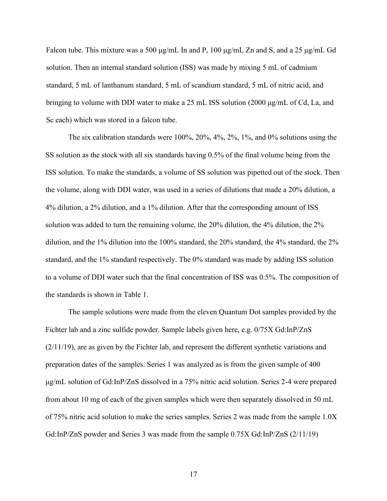Falcon tube. This mixture was a 500 μg/mL In and P, 100 μg/mL Zn and S, and a 25 μg/mL Gd solution. Then an internal standard solution (ISS) was made by mixing 5 mL of cadmium standard, 5 mL of lanthanum standard, 5 mL of scandium standard, 5 mL of nitric acid, and bringing to volume with DDI water to make a 25 mL ISS solution (2000 μg/mL of Cd, La, and Sc each) which was stored in a falcon tube.

The six calibration standards were 100%, 20%, 4%, 2%, 1%, and 0% solutions using the SS solution as the stock with all six standards having 0.5% of the final volume being from the ISS solution. To make the standards, a volume of SS solution was pipetted out of the stock. Then the volume, along with DDI water, was used in a series of dilutions that made a 20% dilution, a 4% dilution, a 2% dilution, and a 1% dilution. After that the corresponding amount of ISS solution was added to turn the remaining volume, the 20% dilution, the 4% dilution, the 2% dilution, and the 1% dilution into the 100% standard, the 20% standard, the 4% standard, the 2% standard, and the 1% standard respectively. The 0% standard was made by adding ISS solution to a volume of DDI water such that the final concentration of ISS was 0.5%. The composition of the standards is shown in Table 1.

The sample solutions were made from the eleven Quantum Dot samples provided by the Fichter lab and a zinc sulfide powder. Sample labels given here, e.g. 0/75X Gd:InP/ZnS (2/11/19), are as given by the Fichter lab, and represent the different synthetic variations and preparation dates of the samples. Series 1 was analyzed as is from the given sample of 400 μg/mL solution of Gd:InP/ZnS dissolved in a 75% nitric acid solution. Series 2-4 were prepared from about 10 mg of each of the given samples which were then separately dissolved in 50 mL of 75% nitric acid solution to make the series samples. Series 2 was made from the sample 1.0X Gd:InP/ZnS powder and Series 3 was made from the sample 0.75X Gd:InP/ZnS (2/11/19)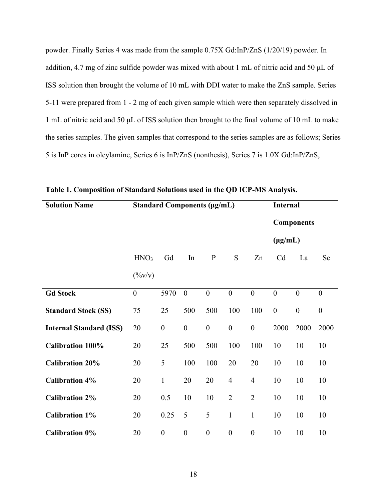powder. Finally Series 4 was made from the sample 0.75X Gd:InP/ZnS (1/20/19) powder. In addition, 4.7 mg of zinc sulfide powder was mixed with about 1 mL of nitric acid and 50 μL of ISS solution then brought the volume of 10 mL with DDI water to make the ZnS sample. Series 5-11 were prepared from 1 - 2 mg of each given sample which were then separately dissolved in 1 mL of nitric acid and 50 μL of ISS solution then brought to the final volume of 10 mL to make the series samples. The given samples that correspond to the series samples are as follows; Series 5 is InP cores in oleylamine, Series 6 is InP/ZnS (nonthesis), Series 7 is 1.0X Gd:InP/ZnS,

| <b>Solution Name</b>           | <b>Standard Components (µg/mL)</b> |                  |                  |                  |                  | <b>Internal</b>  |                  |                   |                  |
|--------------------------------|------------------------------------|------------------|------------------|------------------|------------------|------------------|------------------|-------------------|------------------|
|                                |                                    |                  |                  |                  |                  |                  |                  | <b>Components</b> |                  |
|                                |                                    |                  |                  |                  |                  |                  | $(\mu g/mL)$     |                   |                  |
|                                | HNO <sub>3</sub>                   | Gd               | In               | ${\bf P}$        | S                | Zn               | Cd               | La                | Sc               |
|                                | $(\frac{9}{\text{V}}\text{V})$     |                  |                  |                  |                  |                  |                  |                   |                  |
| <b>Gd Stock</b>                | $\boldsymbol{0}$                   | 5970             | $\boldsymbol{0}$ | $\boldsymbol{0}$ | $\boldsymbol{0}$ | $\boldsymbol{0}$ | $\boldsymbol{0}$ | $\boldsymbol{0}$  | $\boldsymbol{0}$ |
| <b>Standard Stock (SS)</b>     | 75                                 | 25               | 500              | 500              | 100              | 100              | $\boldsymbol{0}$ | $\boldsymbol{0}$  | $\boldsymbol{0}$ |
| <b>Internal Standard (ISS)</b> | 20                                 | $\boldsymbol{0}$ | $\boldsymbol{0}$ | $\boldsymbol{0}$ | $\boldsymbol{0}$ | $\boldsymbol{0}$ | 2000             | 2000              | 2000             |
| <b>Calibration 100%</b>        | 20                                 | 25               | 500              | 500              | 100              | 100              | 10               | 10                | 10               |
| <b>Calibration 20%</b>         | 20                                 | 5                | 100              | 100              | 20               | 20               | 10               | 10                | 10               |
| <b>Calibration 4%</b>          | 20                                 | $\mathbf{1}$     | 20               | 20               | $\overline{4}$   | $\overline{4}$   | 10               | 10                | 10               |
| <b>Calibration 2%</b>          | 20                                 | 0.5              | 10               | 10               | $\overline{2}$   | $\overline{2}$   | 10               | 10                | 10               |
| <b>Calibration 1%</b>          | 20                                 | 0.25             | 5                | 5                | $\mathbf{1}$     | $\mathbf{1}$     | 10               | 10                | 10               |
| <b>Calibration 0%</b>          | 20                                 | $\boldsymbol{0}$ | $\boldsymbol{0}$ | $\boldsymbol{0}$ | $\boldsymbol{0}$ | $\boldsymbol{0}$ | 10               | 10                | 10               |

**Table 1. Composition of Standard Solutions used in the QD ICP-MS Analysis.**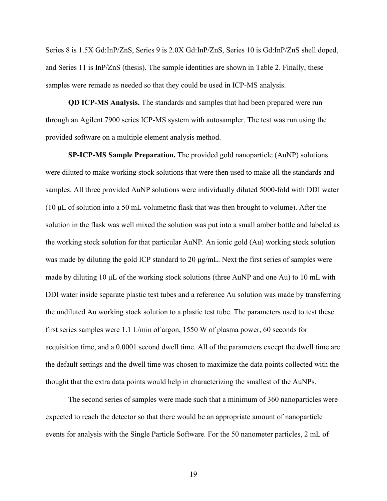Series 8 is 1.5X Gd:InP/ZnS, Series 9 is 2.0X Gd:InP/ZnS, Series 10 is Gd:InP/ZnS shell doped, and Series 11 is InP/ZnS (thesis). The sample identities are shown in Table 2. Finally, these samples were remade as needed so that they could be used in ICP-MS analysis.

**QD ICP-MS Analysis.** The standards and samples that had been prepared were run through an Agilent 7900 series ICP-MS system with autosampler. The test was run using the provided software on a multiple element analysis method.

**SP-ICP-MS Sample Preparation.** The provided gold nanoparticle (AuNP) solutions were diluted to make working stock solutions that were then used to make all the standards and samples. All three provided AuNP solutions were individually diluted 5000-fold with DDI water (10 μL of solution into a 50 mL volumetric flask that was then brought to volume). After the solution in the flask was well mixed the solution was put into a small amber bottle and labeled as the working stock solution for that particular AuNP. An ionic gold (Au) working stock solution was made by diluting the gold ICP standard to 20 μg/mL. Next the first series of samples were made by diluting 10 μL of the working stock solutions (three AuNP and one Au) to 10 mL with DDI water inside separate plastic test tubes and a reference Au solution was made by transferring the undiluted Au working stock solution to a plastic test tube. The parameters used to test these first series samples were 1.1 L/min of argon, 1550 W of plasma power, 60 seconds for acquisition time, and a 0.0001 second dwell time. All of the parameters except the dwell time are the default settings and the dwell time was chosen to maximize the data points collected with the thought that the extra data points would help in characterizing the smallest of the AuNPs.

The second series of samples were made such that a minimum of 360 nanoparticles were expected to reach the detector so that there would be an appropriate amount of nanoparticle events for analysis with the Single Particle Software. For the 50 nanometer particles, 2 mL of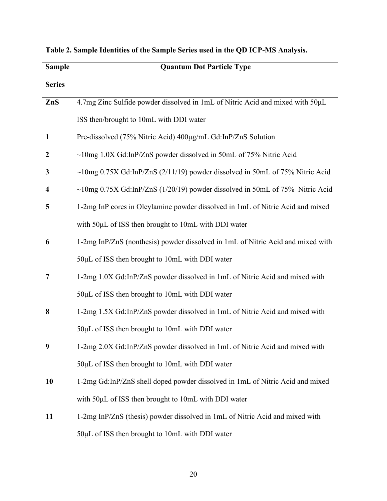| <b>Sample</b>           | <b>Quantum Dot Particle Type</b>                                                   |
|-------------------------|------------------------------------------------------------------------------------|
| <b>Series</b>           |                                                                                    |
| ZnS                     | 4.7mg Zinc Sulfide powder dissolved in 1mL of Nitric Acid and mixed with 50µL      |
|                         | ISS then/brought to 10mL with DDI water                                            |
| 1                       | Pre-dissolved (75% Nitric Acid) 400µg/mL Gd:InP/ZnS Solution                       |
| $\boldsymbol{2}$        | $\sim$ 10mg 1.0X Gd:InP/ZnS powder dissolved in 50mL of 75% Nitric Acid            |
| 3                       | $\sim$ 10mg 0.75X Gd:InP/ZnS (2/11/19) powder dissolved in 50mL of 75% Nitric Acid |
| $\overline{\mathbf{4}}$ | $\sim$ 10mg 0.75X Gd:InP/ZnS (1/20/19) powder dissolved in 50mL of 75% Nitric Acid |
| 5                       | 1-2mg InP cores in Oleylamine powder dissolved in 1mL of Nitric Acid and mixed     |
|                         | with 50µL of ISS then brought to 10mL with DDI water                               |
| 6                       | 1-2mg InP/ZnS (nonthesis) powder dissolved in 1mL of Nitric Acid and mixed with    |
|                         | 50µL of ISS then brought to 10mL with DDI water                                    |
| 7                       | 1-2mg 1.0X Gd:InP/ZnS powder dissolved in 1mL of Nitric Acid and mixed with        |
|                         | $50\mu$ L of ISS then brought to 10mL with DDI water                               |
| 8                       | 1-2mg 1.5X Gd:InP/ZnS powder dissolved in 1mL of Nitric Acid and mixed with        |
|                         | 50µL of ISS then brought to 10mL with DDI water                                    |
| 9                       | 1-2mg 2.0X Gd:InP/ZnS powder dissolved in 1mL of Nitric Acid and mixed with        |
|                         | $50\mu$ L of ISS then brought to 10mL with DDI water                               |
| 10                      | 1-2mg Gd:InP/ZnS shell doped powder dissolved in 1mL of Nitric Acid and mixed      |
|                         | with 50µL of ISS then brought to 10mL with DDI water                               |
| 11                      | 1-2mg InP/ZnS (thesis) powder dissolved in 1mL of Nitric Acid and mixed with       |
|                         | 50µL of ISS then brought to 10mL with DDI water                                    |

|  |  |  | Table 2. Sample Identities of the Sample Series used in the QD ICP-MS Analysis. |  |
|--|--|--|---------------------------------------------------------------------------------|--|
|  |  |  |                                                                                 |  |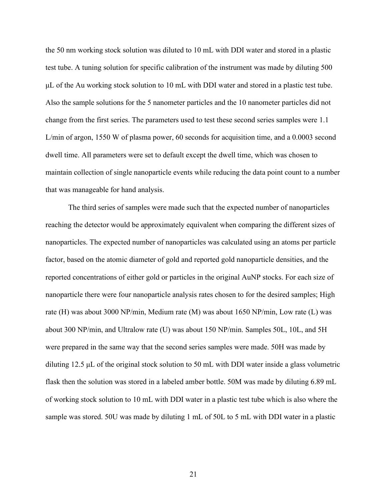the 50 nm working stock solution was diluted to 10 mL with DDI water and stored in a plastic test tube. A tuning solution for specific calibration of the instrument was made by diluting 500 μL of the Au working stock solution to 10 mL with DDI water and stored in a plastic test tube. Also the sample solutions for the 5 nanometer particles and the 10 nanometer particles did not change from the first series. The parameters used to test these second series samples were 1.1 L/min of argon, 1550 W of plasma power, 60 seconds for acquisition time, and a 0.0003 second dwell time. All parameters were set to default except the dwell time, which was chosen to maintain collection of single nanoparticle events while reducing the data point count to a number that was manageable for hand analysis.

The third series of samples were made such that the expected number of nanoparticles reaching the detector would be approximately equivalent when comparing the different sizes of nanoparticles. The expected number of nanoparticles was calculated using an atoms per particle factor, based on the atomic diameter of gold and reported gold nanoparticle densities, and the reported concentrations of either gold or particles in the original AuNP stocks. For each size of nanoparticle there were four nanoparticle analysis rates chosen to for the desired samples; High rate (H) was about 3000 NP/min, Medium rate (M) was about 1650 NP/min, Low rate (L) was about 300 NP/min, and Ultralow rate (U) was about 150 NP/min. Samples 50L, 10L, and 5H were prepared in the same way that the second series samples were made. 50H was made by diluting 12.5 μL of the original stock solution to 50 mL with DDI water inside a glass volumetric flask then the solution was stored in a labeled amber bottle. 50M was made by diluting 6.89 mL of working stock solution to 10 mL with DDI water in a plastic test tube which is also where the sample was stored. 50U was made by diluting 1 mL of 50L to 5 mL with DDI water in a plastic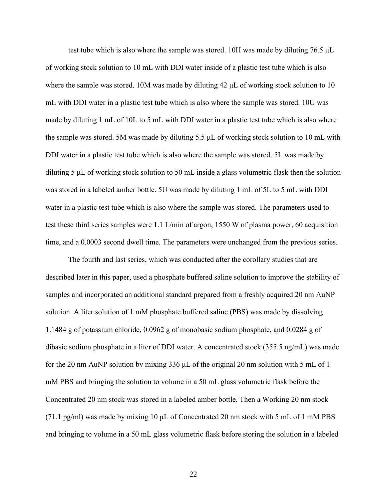test tube which is also where the sample was stored. 10H was made by diluting 76.5 μL of working stock solution to 10 mL with DDI water inside of a plastic test tube which is also where the sample was stored. 10M was made by diluting 42 μL of working stock solution to 10 mL with DDI water in a plastic test tube which is also where the sample was stored. 10U was made by diluting 1 mL of 10L to 5 mL with DDI water in a plastic test tube which is also where the sample was stored. 5M was made by diluting 5.5 μL of working stock solution to 10 mL with DDI water in a plastic test tube which is also where the sample was stored. 5L was made by diluting 5 μL of working stock solution to 50 mL inside a glass volumetric flask then the solution was stored in a labeled amber bottle. 5U was made by diluting 1 mL of 5L to 5 mL with DDI water in a plastic test tube which is also where the sample was stored. The parameters used to test these third series samples were 1.1 L/min of argon, 1550 W of plasma power, 60 acquisition time, and a 0.0003 second dwell time. The parameters were unchanged from the previous series.

The fourth and last series, which was conducted after the corollary studies that are described later in this paper, used a phosphate buffered saline solution to improve the stability of samples and incorporated an additional standard prepared from a freshly acquired 20 nm AuNP solution. A liter solution of 1 mM phosphate buffered saline (PBS) was made by dissolving 1.1484 g of potassium chloride, 0.0962 g of monobasic sodium phosphate, and 0.0284 g of dibasic sodium phosphate in a liter of DDI water. A concentrated stock (355.5 ng/mL) was made for the 20 nm AuNP solution by mixing 336 μL of the original 20 nm solution with 5 mL of 1 mM PBS and bringing the solution to volume in a 50 mL glass volumetric flask before the Concentrated 20 nm stock was stored in a labeled amber bottle. Then a Working 20 nm stock (71.1 pg/ml) was made by mixing 10 μL of Concentrated 20 nm stock with 5 mL of 1 mM PBS and bringing to volume in a 50 mL glass volumetric flask before storing the solution in a labeled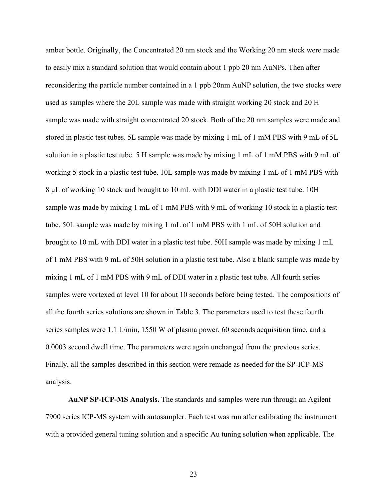amber bottle. Originally, the Concentrated 20 nm stock and the Working 20 nm stock were made to easily mix a standard solution that would contain about 1 ppb 20 nm AuNPs. Then after reconsidering the particle number contained in a 1 ppb 20nm AuNP solution, the two stocks were used as samples where the 20L sample was made with straight working 20 stock and 20 H sample was made with straight concentrated 20 stock. Both of the 20 nm samples were made and stored in plastic test tubes. 5L sample was made by mixing 1 mL of 1 mM PBS with 9 mL of 5L solution in a plastic test tube. 5 H sample was made by mixing 1 mL of 1 mM PBS with 9 mL of working 5 stock in a plastic test tube. 10L sample was made by mixing 1 mL of 1 mM PBS with 8 μL of working 10 stock and brought to 10 mL with DDI water in a plastic test tube. 10H sample was made by mixing 1 mL of 1 mM PBS with 9 mL of working 10 stock in a plastic test tube. 50L sample was made by mixing 1 mL of 1 mM PBS with 1 mL of 50H solution and brought to 10 mL with DDI water in a plastic test tube. 50H sample was made by mixing 1 mL of 1 mM PBS with 9 mL of 50H solution in a plastic test tube. Also a blank sample was made by mixing 1 mL of 1 mM PBS with 9 mL of DDI water in a plastic test tube. All fourth series samples were vortexed at level 10 for about 10 seconds before being tested. The compositions of all the fourth series solutions are shown in Table 3. The parameters used to test these fourth series samples were 1.1 L/min, 1550 W of plasma power, 60 seconds acquisition time, and a 0.0003 second dwell time. The parameters were again unchanged from the previous series. Finally, all the samples described in this section were remade as needed for the SP-ICP-MS analysis.

**AuNP SP-ICP-MS Analysis.** The standards and samples were run through an Agilent 7900 series ICP-MS system with autosampler. Each test was run after calibrating the instrument with a provided general tuning solution and a specific Au tuning solution when applicable. The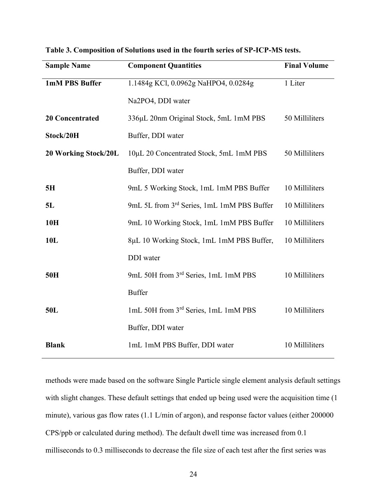| <b>Sample Name</b>     | <b>Component Quantities</b>                | <b>Final Volume</b> |
|------------------------|--------------------------------------------|---------------------|
| 1mM PBS Buffer         | 1.1484g KCl, 0.0962g NaHPO4, 0.0284g       | 1 Liter             |
|                        | Na2PO4, DDI water                          |                     |
| <b>20 Concentrated</b> | 336µL 20nm Original Stock, 5mL 1mM PBS     | 50 Milliliters      |
| Stock/20H              | Buffer, DDI water                          |                     |
| 20 Working Stock/20L   | 10μL 20 Concentrated Stock, 5mL 1mM PBS    | 50 Milliliters      |
|                        | Buffer, DDI water                          |                     |
| 5H                     | 9mL 5 Working Stock, 1mL 1mM PBS Buffer    | 10 Milliliters      |
| 5L                     | 9mL 5L from 3rd Series, 1mL 1mM PBS Buffer | 10 Milliliters      |
| 10H                    | 9mL 10 Working Stock, 1mL 1mM PBS Buffer   | 10 Milliliters      |
| 10L                    | 8µL 10 Working Stock, 1mL 1mM PBS Buffer,  | 10 Milliliters      |
|                        | DDI water                                  |                     |
| 50H                    | 9mL 50H from 3rd Series, 1mL 1mM PBS       | 10 Milliliters      |
|                        | <b>Buffer</b>                              |                     |
| 50L                    | 1mL 50H from 3rd Series, 1mL 1mM PBS       | 10 Milliliters      |
|                        | Buffer, DDI water                          |                     |
| <b>Blank</b>           | 1mL 1mM PBS Buffer, DDI water              | 10 Milliliters      |

**Table 3. Composition of Solutions used in the fourth series of SP-ICP-MS tests.**

methods were made based on the software Single Particle single element analysis default settings with slight changes. These default settings that ended up being used were the acquisition time (1 minute), various gas flow rates (1.1 L/min of argon), and response factor values (either 200000 CPS/ppb or calculated during method). The default dwell time was increased from 0.1 milliseconds to 0.3 milliseconds to decrease the file size of each test after the first series was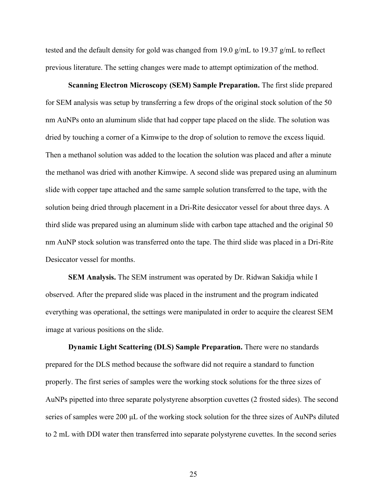tested and the default density for gold was changed from 19.0 g/mL to 19.37 g/mL to reflect previous literature. The setting changes were made to attempt optimization of the method.

**Scanning Electron Microscopy (SEM) Sample Preparation.** The first slide prepared for SEM analysis was setup by transferring a few drops of the original stock solution of the 50 nm AuNPs onto an aluminum slide that had copper tape placed on the slide. The solution was dried by touching a corner of a Kimwipe to the drop of solution to remove the excess liquid. Then a methanol solution was added to the location the solution was placed and after a minute the methanol was dried with another Kimwipe. A second slide was prepared using an aluminum slide with copper tape attached and the same sample solution transferred to the tape, with the solution being dried through placement in a Dri-Rite desiccator vessel for about three days. A third slide was prepared using an aluminum slide with carbon tape attached and the original 50 nm AuNP stock solution was transferred onto the tape. The third slide was placed in a Dri-Rite Desiccator vessel for months.

**SEM Analysis.** The SEM instrument was operated by Dr. Ridwan Sakidja while I observed. After the prepared slide was placed in the instrument and the program indicated everything was operational, the settings were manipulated in order to acquire the clearest SEM image at various positions on the slide.

**Dynamic Light Scattering (DLS) Sample Preparation.** There were no standards prepared for the DLS method because the software did not require a standard to function properly. The first series of samples were the working stock solutions for the three sizes of AuNPs pipetted into three separate polystyrene absorption cuvettes (2 frosted sides). The second series of samples were 200 μL of the working stock solution for the three sizes of AuNPs diluted to 2 mL with DDI water then transferred into separate polystyrene cuvettes. In the second series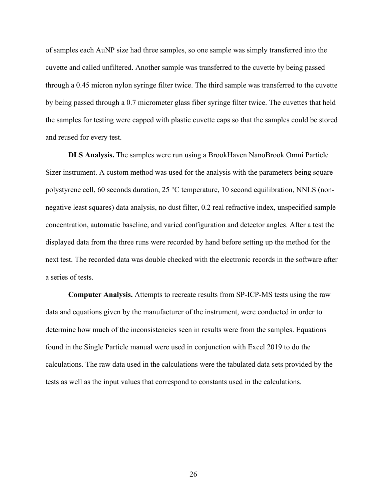of samples each AuNP size had three samples, so one sample was simply transferred into the cuvette and called unfiltered. Another sample was transferred to the cuvette by being passed through a 0.45 micron nylon syringe filter twice. The third sample was transferred to the cuvette by being passed through a 0.7 micrometer glass fiber syringe filter twice. The cuvettes that held the samples for testing were capped with plastic cuvette caps so that the samples could be stored and reused for every test.

**DLS Analysis.** The samples were run using a BrookHaven NanoBrook Omni Particle Sizer instrument. A custom method was used for the analysis with the parameters being square polystyrene cell, 60 seconds duration, 25 °C temperature, 10 second equilibration, NNLS (nonnegative least squares) data analysis, no dust filter, 0.2 real refractive index, unspecified sample concentration, automatic baseline, and varied configuration and detector angles. After a test the displayed data from the three runs were recorded by hand before setting up the method for the next test. The recorded data was double checked with the electronic records in the software after a series of tests.

**Computer Analysis.** Attempts to recreate results from SP-ICP-MS tests using the raw data and equations given by the manufacturer of the instrument, were conducted in order to determine how much of the inconsistencies seen in results were from the samples. Equations found in the Single Particle manual were used in conjunction with Excel 2019 to do the calculations. The raw data used in the calculations were the tabulated data sets provided by the tests as well as the input values that correspond to constants used in the calculations.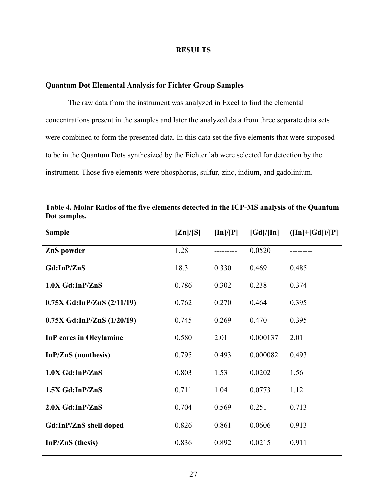#### **RESULTS**

#### **Quantum Dot Elemental Analysis for Fichter Group Samples**

The raw data from the instrument was analyzed in Excel to find the elemental concentrations present in the samples and later the analyzed data from three separate data sets were combined to form the presented data. In this data set the five elements that were supposed to be in the Quantum Dots synthesized by the Fichter lab were selected for detection by the instrument. Those five elements were phosphorus, sulfur, zinc, indium, and gadolinium.

| <b>Sample</b>                  | [Zn]/[S] | $[\ln]/[P]$ | [Gd]/[In] | $([In]+[Gd])/[P]$ |
|--------------------------------|----------|-------------|-----------|-------------------|
| ZnS powder                     | 1.28     |             | 0.0520    |                   |
| Gd:InP/ZnS                     | 18.3     | 0.330       | 0.469     | 0.485             |
| $1.0X$ Gd:InP/ZnS              | 0.786    | 0.302       | 0.238     | 0.374             |
| $0.75X$ Gd:InP/ZnS $(2/11/19)$ | 0.762    | 0.270       | 0.464     | 0.395             |
| $0.75X$ Gd:InP/ZnS $(1/20/19)$ | 0.745    | 0.269       | 0.470     | 0.395             |
| <b>InP</b> cores in Oleylamine | 0.580    | 2.01        | 0.000137  | 2.01              |
| InP/ZnS (nonthesis)            | 0.795    | 0.493       | 0.000082  | 0.493             |
| $1.0X$ Gd:InP/ZnS              | 0.803    | 1.53        | 0.0202    | 1.56              |
| 1.5X Gd:InP/ZnS                | 0.711    | 1.04        | 0.0773    | 1.12              |
| $2.0X$ Gd:InP/ZnS              | 0.704    | 0.569       | 0.251     | 0.713             |
| Gd:InP/ZnS shell doped         | 0.826    | 0.861       | 0.0606    | 0.913             |
| $In P/ZnS (thesis)$            | 0.836    | 0.892       | 0.0215    | 0.911             |

**Table 4. Molar Ratios of the five elements detected in the ICP-MS analysis of the Quantum Dot samples.**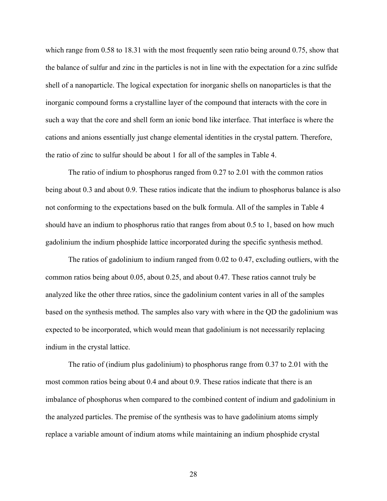which range from 0.58 to 18.31 with the most frequently seen ratio being around 0.75, show that the balance of sulfur and zinc in the particles is not in line with the expectation for a zinc sulfide shell of a nanoparticle. The logical expectation for inorganic shells on nanoparticles is that the inorganic compound forms a crystalline layer of the compound that interacts with the core in such a way that the core and shell form an ionic bond like interface. That interface is where the cations and anions essentially just change elemental identities in the crystal pattern. Therefore, the ratio of zinc to sulfur should be about 1 for all of the samples in Table 4.

The ratio of indium to phosphorus ranged from 0.27 to 2.01 with the common ratios being about 0.3 and about 0.9. These ratios indicate that the indium to phosphorus balance is also not conforming to the expectations based on the bulk formula. All of the samples in Table 4 should have an indium to phosphorus ratio that ranges from about 0.5 to 1, based on how much gadolinium the indium phosphide lattice incorporated during the specific synthesis method.

The ratios of gadolinium to indium ranged from 0.02 to 0.47, excluding outliers, with the common ratios being about 0.05, about 0.25, and about 0.47. These ratios cannot truly be analyzed like the other three ratios, since the gadolinium content varies in all of the samples based on the synthesis method. The samples also vary with where in the QD the gadolinium was expected to be incorporated, which would mean that gadolinium is not necessarily replacing indium in the crystal lattice.

The ratio of (indium plus gadolinium) to phosphorus range from 0.37 to 2.01 with the most common ratios being about 0.4 and about 0.9. These ratios indicate that there is an imbalance of phosphorus when compared to the combined content of indium and gadolinium in the analyzed particles. The premise of the synthesis was to have gadolinium atoms simply replace a variable amount of indium atoms while maintaining an indium phosphide crystal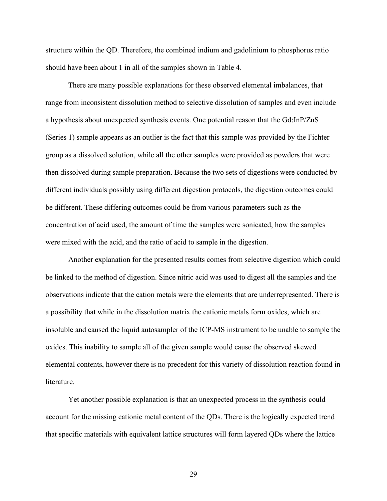structure within the QD. Therefore, the combined indium and gadolinium to phosphorus ratio should have been about 1 in all of the samples shown in Table 4.

There are many possible explanations for these observed elemental imbalances, that range from inconsistent dissolution method to selective dissolution of samples and even include a hypothesis about unexpected synthesis events. One potential reason that the Gd:InP/ZnS (Series 1) sample appears as an outlier is the fact that this sample was provided by the Fichter group as a dissolved solution, while all the other samples were provided as powders that were then dissolved during sample preparation. Because the two sets of digestions were conducted by different individuals possibly using different digestion protocols, the digestion outcomes could be different. These differing outcomes could be from various parameters such as the concentration of acid used, the amount of time the samples were sonicated, how the samples were mixed with the acid, and the ratio of acid to sample in the digestion.

Another explanation for the presented results comes from selective digestion which could be linked to the method of digestion. Since nitric acid was used to digest all the samples and the observations indicate that the cation metals were the elements that are underrepresented. There is a possibility that while in the dissolution matrix the cationic metals form oxides, which are insoluble and caused the liquid autosampler of the ICP-MS instrument to be unable to sample the oxides. This inability to sample all of the given sample would cause the observed skewed elemental contents, however there is no precedent for this variety of dissolution reaction found in literature.

Yet another possible explanation is that an unexpected process in the synthesis could account for the missing cationic metal content of the QDs. There is the logically expected trend that specific materials with equivalent lattice structures will form layered QDs where the lattice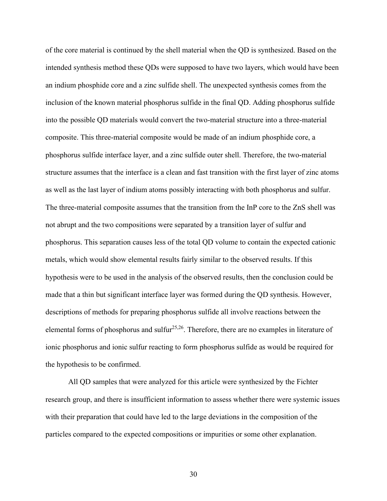of the core material is continued by the shell material when the QD is synthesized. Based on the intended synthesis method these QDs were supposed to have two layers, which would have been an indium phosphide core and a zinc sulfide shell. The unexpected synthesis comes from the inclusion of the known material phosphorus sulfide in the final QD. Adding phosphorus sulfide into the possible QD materials would convert the two-material structure into a three-material composite. This three-material composite would be made of an indium phosphide core, a phosphorus sulfide interface layer, and a zinc sulfide outer shell. Therefore, the two-material structure assumes that the interface is a clean and fast transition with the first layer of zinc atoms as well as the last layer of indium atoms possibly interacting with both phosphorus and sulfur. The three-material composite assumes that the transition from the InP core to the ZnS shell was not abrupt and the two compositions were separated by a transition layer of sulfur and phosphorus. This separation causes less of the total QD volume to contain the expected cationic metals, which would show elemental results fairly similar to the observed results. If this hypothesis were to be used in the analysis of the observed results, then the conclusion could be made that a thin but significant interface layer was formed during the QD synthesis. However, descriptions of methods for preparing phosphorus sulfide all involve reactions between the elemental forms of phosphorus and sulfur<sup>25,26</sup>. Therefore, there are no examples in literature of ionic phosphorus and ionic sulfur reacting to form phosphorus sulfide as would be required for the hypothesis to be confirmed.

All QD samples that were analyzed for this article were synthesized by the Fichter research group, and there is insufficient information to assess whether there were systemic issues with their preparation that could have led to the large deviations in the composition of the particles compared to the expected compositions or impurities or some other explanation.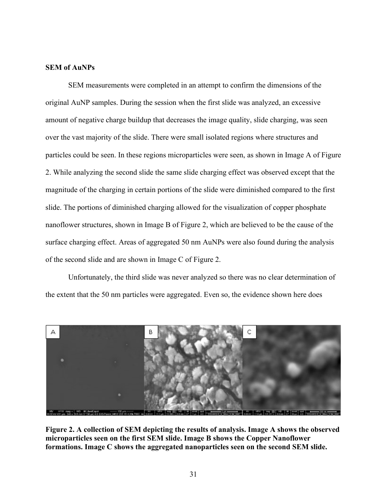#### **SEM of AuNPs**

SEM measurements were completed in an attempt to confirm the dimensions of the original AuNP samples. During the session when the first slide was analyzed, an excessive amount of negative charge buildup that decreases the image quality, slide charging, was seen over the vast majority of the slide. There were small isolated regions where structures and particles could be seen. In these regions microparticles were seen, as shown in Image A of Figure 2. While analyzing the second slide the same slide charging effect was observed except that the magnitude of the charging in certain portions of the slide were diminished compared to the first slide. The portions of diminished charging allowed for the visualization of copper phosphate nanoflower structures, shown in Image B of Figure 2, which are believed to be the cause of the surface charging effect. Areas of aggregated 50 nm AuNPs were also found during the analysis of the second slide and are shown in Image C of Figure 2.

Unfortunately, the third slide was never analyzed so there was no clear determination of the extent that the 50 nm particles were aggregated. Even so, the evidence shown here does



**Figure 2. A collection of SEM depicting the results of analysis. Image A shows the observed microparticles seen on the first SEM slide. Image B shows the Copper Nanoflower formations. Image C shows the aggregated nanoparticles seen on the second SEM slide.**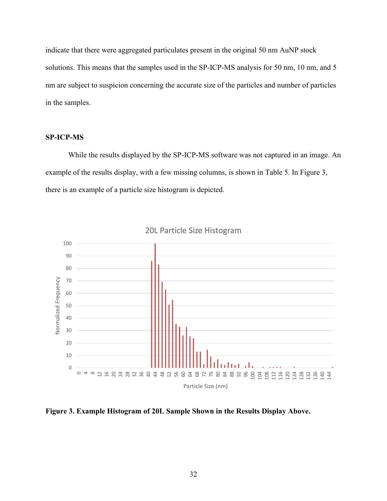indicate that there were aggregated particulates present in the original 50 nm AuNP stock solutions. This means that the samples used in the SP-ICP-MS analysis for 50 nm, 10 nm, and 5 nm are subject to suspicion concerning the accurate size of the particles and number of particles in the samples.

#### **SP-ICP-MS**

While the results displayed by the SP-ICP-MS software was not captured in an image. An example of the results display, with a few missing columns, is shown in Table 5. In Figure 3, there is an example of a particle size histogram is depicted.



**Figure 3. Example Histogram of 20L Sample Shown in the Results Display Above.**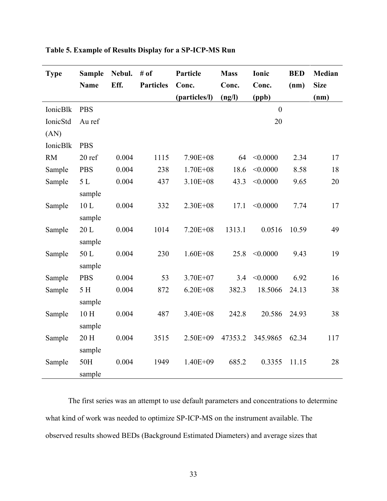| <b>Type</b> | <b>Sample</b><br><b>Name</b> | Nebul.<br>Eff. | # of<br><b>Particles</b> | Particle<br>Conc. | <b>Mass</b><br>Conc. | Ionic<br>Conc. | <b>BED</b><br>(nm) | Median<br><b>Size</b> |
|-------------|------------------------------|----------------|--------------------------|-------------------|----------------------|----------------|--------------------|-----------------------|
|             |                              |                |                          | (particles/l)     | (ng/l)               | (ppb)          |                    | (nm)                  |
| IonicBlk    | <b>PBS</b>                   |                |                          |                   |                      | $\overline{0}$ |                    |                       |
| IonicStd    | Au ref                       |                |                          |                   |                      | 20             |                    |                       |
| (AN)        |                              |                |                          |                   |                      |                |                    |                       |
| IonicBlk    | <b>PBS</b>                   |                |                          |                   |                      |                |                    |                       |
| <b>RM</b>   | 20 ref                       | 0.004          | 1115                     | 7.90E+08          | 64                   | < 0.0000       | 2.34               | 17                    |
| Sample      | <b>PBS</b>                   | 0.004          | 238                      | $1.70E + 08$      | 18.6                 | < 0.0000       | 8.58               | 18                    |
| Sample      | $5 L$                        | 0.004          | 437                      | $3.10E + 08$      | 43.3                 | < 0.0000       | 9.65               | 20                    |
|             | sample                       |                |                          |                   |                      |                |                    |                       |
| Sample      | $10 L$                       | 0.004          | 332                      | $2.30E + 08$      | 17.1                 | < 0.0000       | 7.74               | 17                    |
|             | sample                       |                |                          |                   |                      |                |                    |                       |
| Sample      | 20L                          | 0.004          | 1014                     | $7.20E + 08$      | 1313.1               | 0.0516         | 10.59              | 49                    |
|             | sample                       |                |                          |                   |                      |                |                    |                       |
| Sample      | 50L                          | 0.004          | 230                      | $1.60E + 08$      | 25.8                 | < 0.0000       | 9.43               | 19                    |
|             | sample                       |                |                          |                   |                      |                |                    |                       |
| Sample      | <b>PBS</b>                   | 0.004          | 53                       | 3.70E+07          | 3.4                  | < 0.0000       | 6.92               | 16                    |
| Sample      | 5 H                          | 0.004          | 872                      | $6.20E + 08$      | 382.3                | 18.5066        | 24.13              | 38                    |
|             | sample                       |                |                          |                   |                      |                |                    |                       |
| Sample      | $10H$                        | 0.004          | 487                      | 3.40E+08          | 242.8                | 20.586         | 24.93              | 38                    |
|             | sample                       |                |                          |                   |                      |                |                    |                       |
| Sample      | 20 H                         | 0.004          | 3515                     | $2.50E + 09$      | 47353.2              | 345.9865       | 62.34              | 117                   |
|             | sample                       |                |                          |                   |                      |                |                    |                       |
| Sample      | 50H                          | 0.004          | 1949                     | $1.40E + 09$      | 685.2                | 0.3355         | 11.15              | 28                    |
|             | sample                       |                |                          |                   |                      |                |                    |                       |

**Table 5. Example of Results Display for a SP-ICP-MS Run**

The first series was an attempt to use default parameters and concentrations to determine what kind of work was needed to optimize SP-ICP-MS on the instrument available. The observed results showed BEDs (Background Estimated Diameters) and average sizes that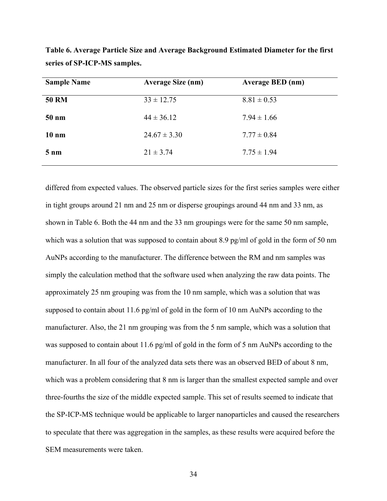| <b>Sample Name</b> | <b>Average Size (nm)</b> | <b>Average BED</b> (nm) |
|--------------------|--------------------------|-------------------------|
| <b>50 RM</b>       | $33 \pm 12.75$           | $8.81 \pm 0.53$         |
| $50 \text{ nm}$    | $44 \pm 36.12$           | $7.94 \pm 1.66$         |
| $10 \text{ nm}$    | $24.67 \pm 3.30$         | $7.77 \pm 0.84$         |
| $5 \text{ nm}$     | $21 \pm 3.74$            | $7.75 \pm 1.94$         |
|                    |                          |                         |

**Table 6. Average Particle Size and Average Background Estimated Diameter for the first series of SP-ICP-MS samples.**

differed from expected values. The observed particle sizes for the first series samples were either in tight groups around 21 nm and 25 nm or disperse groupings around 44 nm and 33 nm, as shown in Table 6. Both the 44 nm and the 33 nm groupings were for the same 50 nm sample, which was a solution that was supposed to contain about 8.9 pg/ml of gold in the form of 50 nm AuNPs according to the manufacturer. The difference between the RM and nm samples was simply the calculation method that the software used when analyzing the raw data points. The approximately 25 nm grouping was from the 10 nm sample, which was a solution that was supposed to contain about 11.6 pg/ml of gold in the form of 10 nm AuNPs according to the manufacturer. Also, the 21 nm grouping was from the 5 nm sample, which was a solution that was supposed to contain about 11.6 pg/ml of gold in the form of 5 nm AuNPs according to the manufacturer. In all four of the analyzed data sets there was an observed BED of about 8 nm, which was a problem considering that 8 nm is larger than the smallest expected sample and over three-fourths the size of the middle expected sample. This set of results seemed to indicate that the SP-ICP-MS technique would be applicable to larger nanoparticles and caused the researchers to speculate that there was aggregation in the samples, as these results were acquired before the SEM measurements were taken.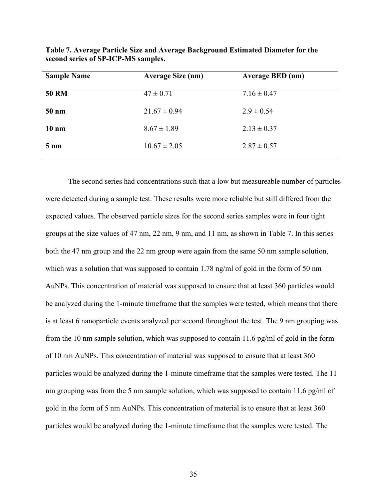| <b>Sample Name</b> | <b>Average Size (nm)</b> | <b>Average BED</b> (nm) |
|--------------------|--------------------------|-------------------------|
| <b>50 RM</b>       | $47 \pm 0.71$            | $7.16 \pm 0.47$         |
| $50 \text{ nm}$    | $21.67 \pm 0.94$         | $2.9 \pm 0.54$          |
| $10 \text{ nm}$    | $8.67 \pm 1.89$          | $2.13 \pm 0.37$         |
| $5 \text{ nm}$     | $10.67 \pm 2.05$         | $2.87 \pm 0.57$         |

**Table 7. Average Particle Size and Average Background Estimated Diameter for the second series of SP-ICP-MS samples.**

The second series had concentrations such that a low but measureable number of particles were detected during a sample test. These results were more reliable but still differed from the expected values. The observed particle sizes for the second series samples were in four tight groups at the size values of 47 nm, 22 nm, 9 nm, and 11 nm, as shown in Table 7. In this series both the 47 nm group and the 22 nm group were again from the same 50 nm sample solution, which was a solution that was supposed to contain 1.78 ng/ml of gold in the form of 50 nm AuNPs. This concentration of material was supposed to ensure that at least 360 particles would be analyzed during the 1-minute timeframe that the samples were tested, which means that there is at least 6 nanoparticle events analyzed per second throughout the test. The 9 nm grouping was from the 10 nm sample solution, which was supposed to contain 11.6 pg/ml of gold in the form of 10 nm AuNPs. This concentration of material was supposed to ensure that at least 360 particles would be analyzed during the 1-minute timeframe that the samples were tested. The 11 nm grouping was from the 5 nm sample solution, which was supposed to contain 11.6 pg/ml of gold in the form of 5 nm AuNPs. This concentration of material is to ensure that at least 360 particles would be analyzed during the 1-minute timeframe that the samples were tested. The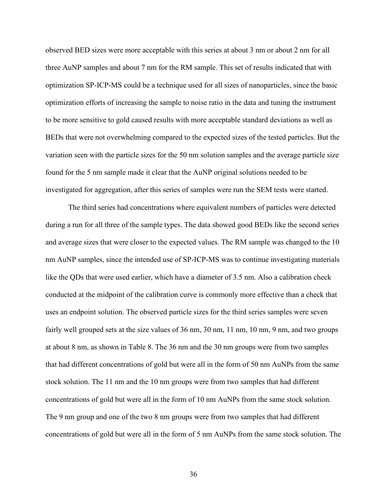observed BED sizes were more acceptable with this series at about 3 nm or about 2 nm for all three AuNP samples and about 7 nm for the RM sample. This set of results indicated that with optimization SP-ICP-MS could be a technique used for all sizes of nanoparticles, since the basic optimization efforts of increasing the sample to noise ratio in the data and tuning the instrument to be more sensitive to gold caused results with more acceptable standard deviations as well as BEDs that were not overwhelming compared to the expected sizes of the tested particles. But the variation seen with the particle sizes for the 50 nm solution samples and the average particle size found for the 5 nm sample made it clear that the AuNP original solutions needed to be investigated for aggregation, after this series of samples were run the SEM tests were started.

The third series had concentrations where equivalent numbers of particles were detected during a run for all three of the sample types. The data showed good BEDs like the second series and average sizes that were closer to the expected values. The RM sample was changed to the 10 nm AuNP samples, since the intended use of SP-ICP-MS was to continue investigating materials like the QDs that were used earlier, which have a diameter of 3.5 nm. Also a calibration check conducted at the midpoint of the calibration curve is commonly more effective than a check that uses an endpoint solution. The observed particle sizes for the third series samples were seven fairly well grouped sets at the size values of 36 nm, 30 nm, 11 nm, 10 nm, 9 nm, and two groups at about 8 nm, as shown in Table 8. The 36 nm and the 30 nm groups were from two samples that had different concentrations of gold but were all in the form of 50 nm AuNPs from the same stock solution. The 11 nm and the 10 nm groups were from two samples that had different concentrations of gold but were all in the form of 10 nm AuNPs from the same stock solution. The 9 nm group and one of the two 8 nm groups were from two samples that had different concentrations of gold but were all in the form of 5 nm AuNPs from the same stock solution. The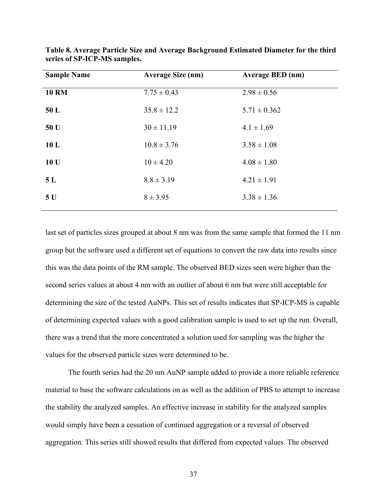| <b>Sample Name</b> | <b>Average Size (nm)</b> | <b>Average BED</b> (nm) |
|--------------------|--------------------------|-------------------------|
| <b>10 RM</b>       | $7.75 \pm 0.43$          | $2.98 \pm 0.56$         |
| 50 L               | $35.8 \pm 12.2$          | $5.71 \pm 0.362$        |
| 50 U               | $30 \pm 11.19$           | $4.1 \pm 1.69$          |
| 10 <sub>L</sub>    | $10.8 \pm 3.76$          | $3.58 \pm 1.08$         |
| 10 U               | $10 \pm 4.20$            | $4.08 \pm 1.80$         |
| 5L                 | $8.8 \pm 3.19$           | $4.21 \pm 1.91$         |
| 5U                 | $8 \pm 3.95$             | $3.38 \pm 1.36$         |
|                    |                          |                         |

**Table 8. Average Particle Size and Average Background Estimated Diameter for the third series of SP-ICP-MS samples.**

last set of particles sizes grouped at about 8 nm was from the same sample that formed the 11 nm group but the software used a different set of equations to convert the raw data into results since this was the data points of the RM sample. The observed BED sizes seen were higher than the second series values at about 4 nm with an outlier of about 6 nm but were still acceptable for determining the size of the tested AuNPs. This set of results indicates that SP-ICP-MS is capable of determining expected values with a good calibration sample is used to set up the run. Overall, there was a trend that the more concentrated a solution used for sampling was the higher the values for the observed particle sizes were determined to be.

The fourth series had the 20 nm AuNP sample added to provide a more reliable reference material to base the software calculations on as well as the addition of PBS to attempt to increase the stability the analyzed samples. An effective increase in stability for the analyzed samples would simply have been a cessation of continued aggregation or a reversal of observed aggregation. This series still showed results that differed from expected values. The observed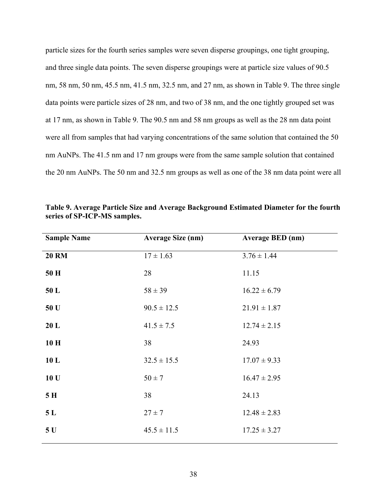particle sizes for the fourth series samples were seven disperse groupings, one tight grouping, and three single data points. The seven disperse groupings were at particle size values of 90.5 nm, 58 nm, 50 nm, 45.5 nm, 41.5 nm, 32.5 nm, and 27 nm, as shown in Table 9. The three single data points were particle sizes of 28 nm, and two of 38 nm, and the one tightly grouped set was at 17 nm, as shown in Table 9. The 90.5 nm and 58 nm groups as well as the 28 nm data point were all from samples that had varying concentrations of the same solution that contained the 50 nm AuNPs. The 41.5 nm and 17 nm groups were from the same sample solution that contained the 20 nm AuNPs. The 50 nm and 32.5 nm groups as well as one of the 38 nm data point were all

| <b>Sample Name</b> | <b>Average Size (nm)</b> | <b>Average BED</b> (nm) |
|--------------------|--------------------------|-------------------------|
| <b>20 RM</b>       | $17 \pm 1.63$            | $3.76 \pm 1.44$         |
| 50 H               | 28                       | 11.15                   |
| 50L                | $58 \pm 39$              | $16.22 \pm 6.79$        |
| 50 U               | $90.5 \pm 12.5$          | $21.91 \pm 1.87$        |
| 20 L               | $41.5 \pm 7.5$           | $12.74 \pm 2.15$        |
| 10H                | 38                       | 24.93                   |
| 10L                | $32.5 \pm 15.5$          | $17.07 \pm 9.33$        |
| 10 U               | $50 \pm 7$               | $16.47 \pm 2.95$        |
| 5H                 | 38                       | 24.13                   |
| 5L                 | $27 \pm 7$               | $12.48 \pm 2.83$        |
| 5U                 | $45.5 \pm 11.5$          | $17.25 \pm 3.27$        |

**Table 9. Average Particle Size and Average Background Estimated Diameter for the fourth series of SP-ICP-MS samples.**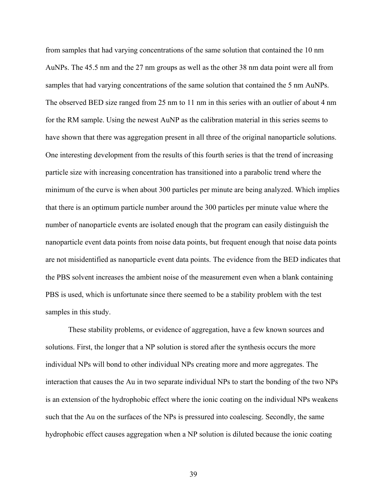from samples that had varying concentrations of the same solution that contained the 10 nm AuNPs. The 45.5 nm and the 27 nm groups as well as the other 38 nm data point were all from samples that had varying concentrations of the same solution that contained the 5 nm AuNPs. The observed BED size ranged from 25 nm to 11 nm in this series with an outlier of about 4 nm for the RM sample. Using the newest AuNP as the calibration material in this series seems to have shown that there was aggregation present in all three of the original nanoparticle solutions. One interesting development from the results of this fourth series is that the trend of increasing particle size with increasing concentration has transitioned into a parabolic trend where the minimum of the curve is when about 300 particles per minute are being analyzed. Which implies that there is an optimum particle number around the 300 particles per minute value where the number of nanoparticle events are isolated enough that the program can easily distinguish the nanoparticle event data points from noise data points, but frequent enough that noise data points are not misidentified as nanoparticle event data points. The evidence from the BED indicates that the PBS solvent increases the ambient noise of the measurement even when a blank containing PBS is used, which is unfortunate since there seemed to be a stability problem with the test samples in this study.

These stability problems, or evidence of aggregation, have a few known sources and solutions. First, the longer that a NP solution is stored after the synthesis occurs the more individual NPs will bond to other individual NPs creating more and more aggregates. The interaction that causes the Au in two separate individual NPs to start the bonding of the two NPs is an extension of the hydrophobic effect where the ionic coating on the individual NPs weakens such that the Au on the surfaces of the NPs is pressured into coalescing. Secondly, the same hydrophobic effect causes aggregation when a NP solution is diluted because the ionic coating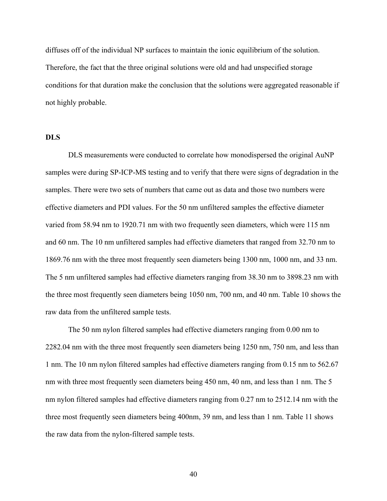diffuses off of the individual NP surfaces to maintain the ionic equilibrium of the solution. Therefore, the fact that the three original solutions were old and had unspecified storage conditions for that duration make the conclusion that the solutions were aggregated reasonable if not highly probable.

#### **DLS**

DLS measurements were conducted to correlate how monodispersed the original AuNP samples were during SP-ICP-MS testing and to verify that there were signs of degradation in the samples. There were two sets of numbers that came out as data and those two numbers were effective diameters and PDI values. For the 50 nm unfiltered samples the effective diameter varied from 58.94 nm to 1920.71 nm with two frequently seen diameters, which were 115 nm and 60 nm. The 10 nm unfiltered samples had effective diameters that ranged from 32.70 nm to 1869.76 nm with the three most frequently seen diameters being 1300 nm, 1000 nm, and 33 nm. The 5 nm unfiltered samples had effective diameters ranging from 38.30 nm to 3898.23 nm with the three most frequently seen diameters being 1050 nm, 700 nm, and 40 nm. Table 10 shows the raw data from the unfiltered sample tests.

The 50 nm nylon filtered samples had effective diameters ranging from 0.00 nm to 2282.04 nm with the three most frequently seen diameters being 1250 nm, 750 nm, and less than 1 nm. The 10 nm nylon filtered samples had effective diameters ranging from 0.15 nm to 562.67 nm with three most frequently seen diameters being 450 nm, 40 nm, and less than 1 nm. The 5 nm nylon filtered samples had effective diameters ranging from 0.27 nm to 2512.14 nm with the three most frequently seen diameters being 400nm, 39 nm, and less than 1 nm. Table 11 shows the raw data from the nylon-filtered sample tests.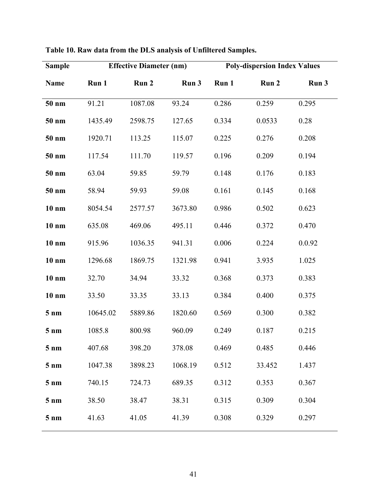| <b>Sample</b>   |          | <b>Effective Diameter (nm)</b> |         |       |                           | <b>Poly-dispersion Index Values</b> |  |
|-----------------|----------|--------------------------------|---------|-------|---------------------------|-------------------------------------|--|
| <b>Name</b>     | Run 1    | Run 2                          | Run 3   | Run 1 | Run 2                     | Run 3                               |  |
| 50 nm           | 91.21    | 1087.08                        | 93.24   | 0.286 | 0.259                     | 0.295                               |  |
| 50 nm           | 1435.49  | 2598.75                        | 127.65  | 0.334 | 0.0533                    | 0.28                                |  |
| 50 nm           | 1920.71  | 113.25                         | 115.07  | 0.225 | 0.276                     | 0.208                               |  |
| 50 nm           | 117.54   | 111.70                         | 119.57  | 0.196 | 0.209                     | 0.194                               |  |
| 50 nm           | 63.04    | 59.85                          | 59.79   | 0.148 | 0.176                     | 0.183                               |  |
| 50 nm           | 58.94    | 59.93                          | 59.08   | 0.161 | 0.145                     | 0.168                               |  |
| $10 \text{ nm}$ | 8054.54  | 2577.57                        | 3673.80 | 0.986 | 0.502                     | 0.623                               |  |
| $10 \text{ nm}$ | 635.08   | 469.06                         | 495.11  | 0.446 | 0.372                     | 0.470                               |  |
| $10 \text{ nm}$ | 915.96   | 1036.35                        | 941.31  | 0.006 | 0.224                     | 0.0.92                              |  |
| $10 \text{ nm}$ | 1296.68  | 1869.75                        | 1321.98 | 0.941 | 3.935                     | 1.025                               |  |
| $10 \text{ nm}$ | 32.70    | 34.94                          | 33.32   | 0.368 | 0.373                     | 0.383                               |  |
| $10 \text{ nm}$ | 33.50    | 33.35                          | 33.13   | 0.384 | 0.400                     | 0.375                               |  |
| $5 \text{ nm}$  | 10645.02 | 5889.86                        | 1820.60 | 0.569 | 0.300                     | 0.382                               |  |
| $5 \text{ nm}$  | 1085.8   | 800.98                         | 960.09  | 0.249 | 0.187                     | 0.215                               |  |
| 5 nm            | 407.68   |                                |         |       | 398.20 378.08 0.469 0.485 | 0.446                               |  |
| $5 \text{ nm}$  | 1047.38  | 3898.23                        | 1068.19 | 0.512 | 33.452                    | 1.437                               |  |
| $5 \text{ nm}$  | 740.15   | 724.73                         | 689.35  | 0.312 | 0.353                     | 0.367                               |  |
| $5 \text{ nm}$  | 38.50    | 38.47                          | 38.31   | 0.315 | 0.309                     | 0.304                               |  |
| $5 \text{ nm}$  | 41.63    | 41.05                          | 41.39   | 0.308 | 0.329                     | 0.297                               |  |

| Table 10. Raw data from the DLS analysis of Unfiltered Samples. |
|-----------------------------------------------------------------|
|-----------------------------------------------------------------|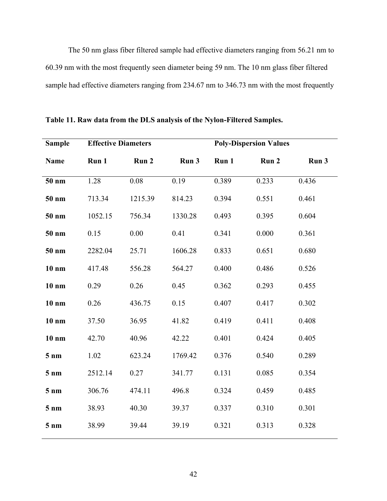The 50 nm glass fiber filtered sample had effective diameters ranging from 56.21 nm to 60.39 nm with the most frequently seen diameter being 59 nm. The 10 nm glass fiber filtered sample had effective diameters ranging from 234.67 nm to 346.73 nm with the most frequently

| Run 1<br>Run 2<br>Run 3<br>Run 1<br>Run 2<br>Run 3<br><b>Name</b><br>0.19<br>1.28<br>0.08<br>0.389<br>0.233<br>0.436<br>50 nm<br>0.551<br>713.34<br>0.394<br>0.461<br>50 nm<br>1215.39<br>814.23<br>756.34<br>1330.28<br>0.493<br>0.395<br>0.604<br>50 nm<br>1052.15<br>0.15<br>0.00<br>0.41<br>0.341<br>0.000<br>0.361<br>50 nm<br>50 nm<br>0.651<br>0.680<br>2282.04<br>25.71<br>1606.28<br>0.833<br>0.400<br>0.486<br>0.526<br>$10 \text{ nm}$<br>417.48<br>556.28<br>564.27<br>0.26<br>0.45<br>0.362<br>0.293<br>0.455<br>$10 \text{ nm}$<br>0.29<br>0.15<br>0.417<br>$10 \text{ nm}$<br>0.26<br>436.75<br>0.407<br>0.302<br>0.411<br>$10 \text{ nm}$<br>37.50<br>36.95<br>41.82<br>0.419<br>0.408<br>$10 \text{ nm}$<br>40.96<br>0.401<br>0.424<br>0.405<br>42.70<br>42.22 | <b>Sample</b>  |      | <b>Effective Diameters</b> |         |       | <b>Poly-Dispersion Values</b> |       |  |  |
|---------------------------------------------------------------------------------------------------------------------------------------------------------------------------------------------------------------------------------------------------------------------------------------------------------------------------------------------------------------------------------------------------------------------------------------------------------------------------------------------------------------------------------------------------------------------------------------------------------------------------------------------------------------------------------------------------------------------------------------------------------------------------------|----------------|------|----------------------------|---------|-------|-------------------------------|-------|--|--|
|                                                                                                                                                                                                                                                                                                                                                                                                                                                                                                                                                                                                                                                                                                                                                                                 |                |      |                            |         |       |                               |       |  |  |
|                                                                                                                                                                                                                                                                                                                                                                                                                                                                                                                                                                                                                                                                                                                                                                                 |                |      |                            |         |       |                               |       |  |  |
|                                                                                                                                                                                                                                                                                                                                                                                                                                                                                                                                                                                                                                                                                                                                                                                 |                |      |                            |         |       |                               |       |  |  |
|                                                                                                                                                                                                                                                                                                                                                                                                                                                                                                                                                                                                                                                                                                                                                                                 |                |      |                            |         |       |                               |       |  |  |
|                                                                                                                                                                                                                                                                                                                                                                                                                                                                                                                                                                                                                                                                                                                                                                                 |                |      |                            |         |       |                               |       |  |  |
|                                                                                                                                                                                                                                                                                                                                                                                                                                                                                                                                                                                                                                                                                                                                                                                 |                |      |                            |         |       |                               |       |  |  |
|                                                                                                                                                                                                                                                                                                                                                                                                                                                                                                                                                                                                                                                                                                                                                                                 |                |      |                            |         |       |                               |       |  |  |
|                                                                                                                                                                                                                                                                                                                                                                                                                                                                                                                                                                                                                                                                                                                                                                                 |                |      |                            |         |       |                               |       |  |  |
|                                                                                                                                                                                                                                                                                                                                                                                                                                                                                                                                                                                                                                                                                                                                                                                 |                |      |                            |         |       |                               |       |  |  |
|                                                                                                                                                                                                                                                                                                                                                                                                                                                                                                                                                                                                                                                                                                                                                                                 |                |      |                            |         |       |                               |       |  |  |
|                                                                                                                                                                                                                                                                                                                                                                                                                                                                                                                                                                                                                                                                                                                                                                                 |                |      |                            |         |       |                               |       |  |  |
|                                                                                                                                                                                                                                                                                                                                                                                                                                                                                                                                                                                                                                                                                                                                                                                 | $5 \text{ nm}$ | 1.02 | 623.24                     | 1769.42 | 0.376 | 0.540                         | 0.289 |  |  |
| 0.27<br>341.77<br>0.131<br>0.085<br>0.354<br>2512.14<br>$5 \text{ nm}$                                                                                                                                                                                                                                                                                                                                                                                                                                                                                                                                                                                                                                                                                                          |                |      |                            |         |       |                               |       |  |  |
| 474.11<br>496.8<br>0.324<br>0.459<br>0.485<br>306.76<br>$5 \text{ nm}$                                                                                                                                                                                                                                                                                                                                                                                                                                                                                                                                                                                                                                                                                                          |                |      |                            |         |       |                               |       |  |  |
| 40.30<br>0.310<br>39.37<br>0.337<br>0.301<br>38.93<br>$5 \text{ nm}$                                                                                                                                                                                                                                                                                                                                                                                                                                                                                                                                                                                                                                                                                                            |                |      |                            |         |       |                               |       |  |  |
| 39.19<br>0.321<br>0.313<br>0.328<br>$5 \text{ nm}$<br>38.99<br>39.44                                                                                                                                                                                                                                                                                                                                                                                                                                                                                                                                                                                                                                                                                                            |                |      |                            |         |       |                               |       |  |  |

**Table 11. Raw data from the DLS analysis of the Nylon-Filtered Samples.**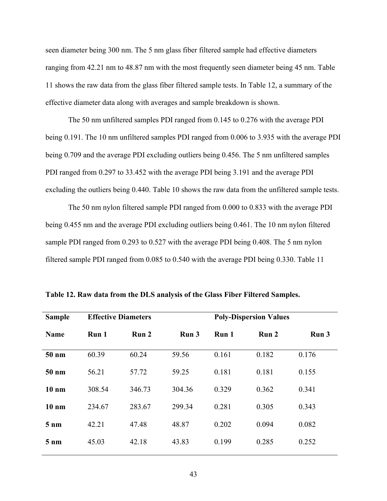seen diameter being 300 nm. The 5 nm glass fiber filtered sample had effective diameters ranging from 42.21 nm to 48.87 nm with the most frequently seen diameter being 45 nm. Table 11 shows the raw data from the glass fiber filtered sample tests. In Table 12, a summary of the effective diameter data along with averages and sample breakdown is shown.

The 50 nm unfiltered samples PDI ranged from 0.145 to 0.276 with the average PDI being 0.191. The 10 nm unfiltered samples PDI ranged from 0.006 to 3.935 with the average PDI being 0.709 and the average PDI excluding outliers being 0.456. The 5 nm unfiltered samples PDI ranged from 0.297 to 33.452 with the average PDI being 3.191 and the average PDI excluding the outliers being 0.440. Table 10 shows the raw data from the unfiltered sample tests.

The 50 nm nylon filtered sample PDI ranged from 0.000 to 0.833 with the average PDI being 0.455 nm and the average PDI excluding outliers being 0.461. The 10 nm nylon filtered sample PDI ranged from 0.293 to 0.527 with the average PDI being 0.408. The 5 nm nylon filtered sample PDI ranged from 0.085 to 0.540 with the average PDI being 0.330. Table 11

| <b>Sample</b>   |        | <b>Effective Diameters</b> |        | <b>Poly-Dispersion Values</b> |       |       |  |
|-----------------|--------|----------------------------|--------|-------------------------------|-------|-------|--|
| <b>Name</b>     | Run 1  | Run 2                      | Run 3  | Run 1                         | Run 2 | Run 3 |  |
| 50 nm           | 60.39  | 60.24                      | 59.56  | 0.161                         | 0.182 | 0.176 |  |
| 50 nm           | 56.21  | 57.72                      | 59.25  | 0.181                         | 0.181 | 0.155 |  |
| $10 \text{ nm}$ | 308.54 | 346.73                     | 304.36 | 0.329                         | 0.362 | 0.341 |  |
| $10 \text{ nm}$ | 234.67 | 283.67                     | 299.34 | 0.281                         | 0.305 | 0.343 |  |
| $5 \text{ nm}$  | 42.21  | 47.48                      | 48.87  | 0.202                         | 0.094 | 0.082 |  |
| $5 \text{ nm}$  | 45.03  | 42.18                      | 43.83  | 0.199                         | 0.285 | 0.252 |  |
|                 |        |                            |        |                               |       |       |  |

**Table 12. Raw data from the DLS analysis of the Glass Fiber Filtered Samples.**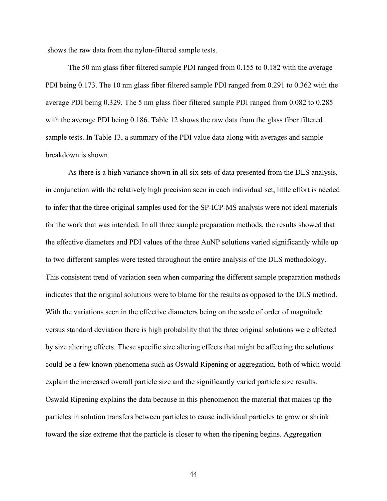shows the raw data from the nylon-filtered sample tests.

The 50 nm glass fiber filtered sample PDI ranged from 0.155 to 0.182 with the average PDI being 0.173. The 10 nm glass fiber filtered sample PDI ranged from 0.291 to 0.362 with the average PDI being 0.329. The 5 nm glass fiber filtered sample PDI ranged from 0.082 to 0.285 with the average PDI being 0.186. Table 12 shows the raw data from the glass fiber filtered sample tests. In Table 13, a summary of the PDI value data along with averages and sample breakdown is shown.

As there is a high variance shown in all six sets of data presented from the DLS analysis, in conjunction with the relatively high precision seen in each individual set, little effort is needed to infer that the three original samples used for the SP-ICP-MS analysis were not ideal materials for the work that was intended. In all three sample preparation methods, the results showed that the effective diameters and PDI values of the three AuNP solutions varied significantly while up to two different samples were tested throughout the entire analysis of the DLS methodology. This consistent trend of variation seen when comparing the different sample preparation methods indicates that the original solutions were to blame for the results as opposed to the DLS method. With the variations seen in the effective diameters being on the scale of order of magnitude versus standard deviation there is high probability that the three original solutions were affected by size altering effects. These specific size altering effects that might be affecting the solutions could be a few known phenomena such as Oswald Ripening or aggregation, both of which would explain the increased overall particle size and the significantly varied particle size results. Oswald Ripening explains the data because in this phenomenon the material that makes up the particles in solution transfers between particles to cause individual particles to grow or shrink toward the size extreme that the particle is closer to when the ripening begins. Aggregation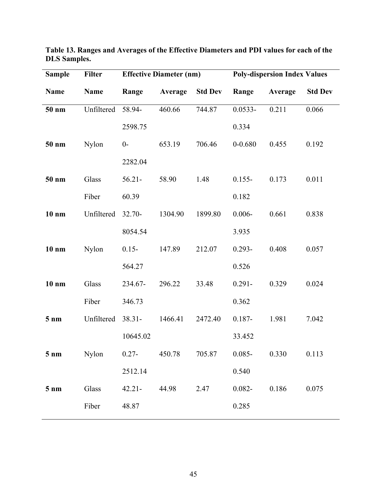| <b>Sample</b>   | <b>Filter</b> | <b>Effective Diameter (nm)</b> |         |                | <b>Poly-dispersion Index Values</b> |         |                |
|-----------------|---------------|--------------------------------|---------|----------------|-------------------------------------|---------|----------------|
| <b>Name</b>     | <b>Name</b>   | Range                          | Average | <b>Std Dev</b> | Range                               | Average | <b>Std Dev</b> |
| 50 nm           | Unfiltered    | 58.94-                         | 460.66  | 744.87         | $0.0533 -$                          | 0.211   | 0.066          |
|                 |               | 2598.75                        |         |                | 0.334                               |         |                |
| 50 nm           | Nylon         | $0-$                           | 653.19  | 706.46         | $0 - 0.680$                         | 0.455   | 0.192          |
|                 |               | 2282.04                        |         |                |                                     |         |                |
| 50 nm           | Glass         | $56.21 -$                      | 58.90   | 1.48           | $0.155 -$                           | 0.173   | 0.011          |
|                 | Fiber         | 60.39                          |         |                | 0.182                               |         |                |
| $10 \text{ nm}$ | Unfiltered    | $32.70 -$                      | 1304.90 | 1899.80        | $0.006 -$                           | 0.661   | 0.838          |
|                 |               | 8054.54                        |         |                | 3.935                               |         |                |
| $10 \text{ nm}$ | Nylon         | $0.15 -$                       | 147.89  | 212.07         | $0.293 -$                           | 0.408   | 0.057          |
|                 |               | 564.27                         |         |                | 0.526                               |         |                |
| $10 \text{ nm}$ | Glass         | 234.67-                        | 296.22  | 33.48          | $0.291 -$                           | 0.329   | 0.024          |
|                 | Fiber         | 346.73                         |         |                | 0.362                               |         |                |
| $5 \text{ nm}$  | Unfiltered    | $38.31 -$                      | 1466.41 | 2472.40        | $0.187 -$                           | 1.981   | 7.042          |
|                 |               | 10645.02                       |         |                | 33.452                              |         |                |
| $5 \text{ nm}$  | Nylon         | $0.27 -$                       | 450.78  | 705.87         | $0.085 -$                           | 0.330   | 0.113          |
|                 |               | 2512.14                        |         |                | 0.540                               |         |                |
| $5 \text{ nm}$  | Glass         | $42.21 -$                      | 44.98   | 2.47           | $0.082 -$                           | 0.186   | 0.075          |
|                 | Fiber         | 48.87                          |         |                | 0.285                               |         |                |
|                 |               |                                |         |                |                                     |         |                |

**Table 13. Ranges and Averages of the Effective Diameters and PDI values for each of the DLS Samples.**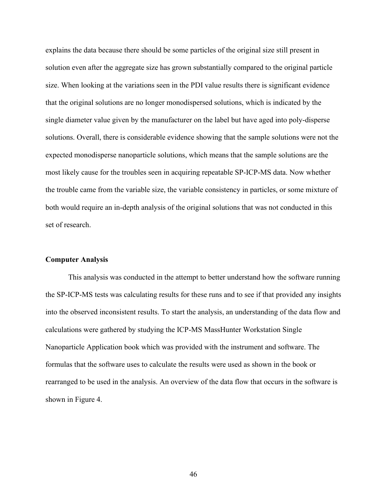explains the data because there should be some particles of the original size still present in solution even after the aggregate size has grown substantially compared to the original particle size. When looking at the variations seen in the PDI value results there is significant evidence that the original solutions are no longer monodispersed solutions, which is indicated by the single diameter value given by the manufacturer on the label but have aged into poly-disperse solutions. Overall, there is considerable evidence showing that the sample solutions were not the expected monodisperse nanoparticle solutions, which means that the sample solutions are the most likely cause for the troubles seen in acquiring repeatable SP-ICP-MS data. Now whether the trouble came from the variable size, the variable consistency in particles, or some mixture of both would require an in-depth analysis of the original solutions that was not conducted in this set of research.

#### **Computer Analysis**

This analysis was conducted in the attempt to better understand how the software running the SP-ICP-MS tests was calculating results for these runs and to see if that provided any insights into the observed inconsistent results. To start the analysis, an understanding of the data flow and calculations were gathered by studying the ICP-MS MassHunter Workstation Single Nanoparticle Application book which was provided with the instrument and software. The formulas that the software uses to calculate the results were used as shown in the book or rearranged to be used in the analysis. An overview of the data flow that occurs in the software is shown in Figure 4.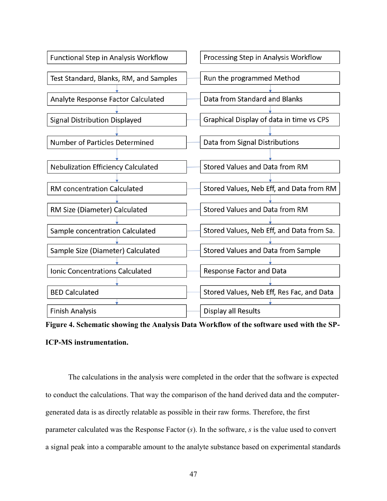

**Figure 4. Schematic showing the Analysis Data Workflow of the software used with the SP-ICP-MS instrumentation.**

The calculations in the analysis were completed in the order that the software is expected to conduct the calculations. That way the comparison of the hand derived data and the computergenerated data is as directly relatable as possible in their raw forms. Therefore, the first parameter calculated was the Response Factor (*s*). In the software, *s* is the value used to convert a signal peak into a comparable amount to the analyte substance based on experimental standards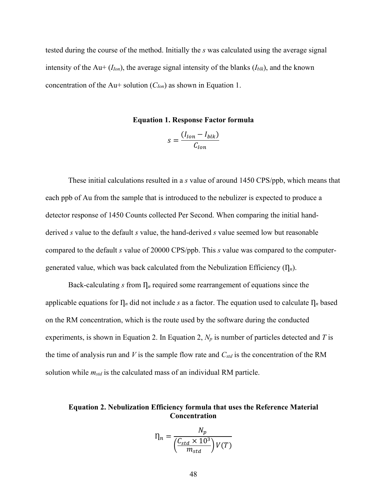tested during the course of the method. Initially the *s* was calculated using the average signal intensity of the Au+  $(I_{Ion})$ , the average signal intensity of the blanks  $(I_{blk})$ , and the known concentration of the Au+ solution (*CIon*) as shown in Equation 1.

**Equation 1. Response Factor formula**

$$
s = \frac{(I_{lon} - I_{blk})}{C_{lon}}
$$

These initial calculations resulted in a *s* value of around 1450 CPS/ppb, which means that each ppb of Au from the sample that is introduced to the nebulizer is expected to produce a detector response of 1450 Counts collected Per Second. When comparing the initial handderived *s* value to the default *s* value, the hand-derived *s* value seemed low but reasonable compared to the default *s* value of 20000 CPS/ppb. This *s* value was compared to the computergenerated value, which was back calculated from the Nebulization Efficiency  $(\Pi_n)$ .

Back-calculating *s* from  $\prod_n$  required some rearrangement of equations since the applicable equations for  $\prod_n$  did not include *s* as a factor. The equation used to calculate  $\prod_n$  based on the RM concentration, which is the route used by the software during the conducted experiments, is shown in Equation 2. In Equation 2, *N<sup>p</sup>* is number of particles detected and *T* is the time of analysis run and *V* is the sample flow rate and *Cstd* is the concentration of the RM solution while *mstd* is the calculated mass of an individual RM particle.

#### **Equation 2. Nebulization Efficiency formula that uses the Reference Material Concentration**

$$
\eta_n = \frac{N_p}{\left(\frac{C_{std} \times 10^3}{m_{std}}\right) V(T)}
$$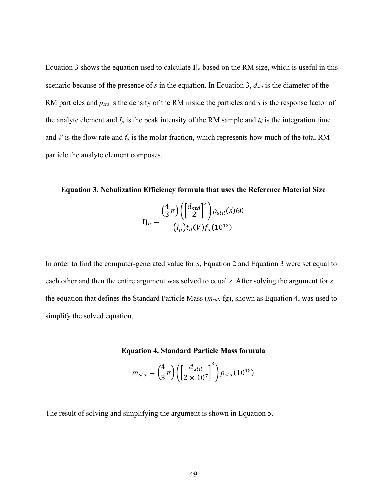Equation 3 shows the equation used to calculate  $\eta_n$  based on the RM size, which is useful in this scenario because of the presence of *s* in the equation. In Equation 3, *dstd* is the diameter of the RM particles and *ρstd* is the density of the RM inside the particles and *s* is the response factor of the analyte element and  $I_p$  is the peak intensity of the RM sample and  $t_d$  is the integration time and *V* is the flow rate and  $f_d$  is the molar fraction, which represents how much of the total RM particle the analyte element composes.

**Equation 3. Nebulization Efficiency formula that uses the Reference Material Size**  $\left(\frac{4}{2}\right)$  $\left(\frac{4}{3}\pi\right)\left(\frac{d_{std}}{2}\right)$ std |<br>2 | 3  $\rho_{std}(s)$ 60

$$
\eta_n = \frac{(3^{n}) (1 \ 2 \ 1)^{Pstd(3)00}}{(I_p) t_d(V) f_d(10^{12})}
$$

In order to find the computer-generated value for *s*, Equation 2 and Equation 3 were set equal to each other and then the entire argument was solved to equal *s*. After solving the argument for *s* the equation that defines the Standard Particle Mass (*mstd,* fg), shown as Equation 4, was used to simplify the solved equation.

#### **Equation 4. Standard Particle Mass formula**

$$
m_{std} = \left(\frac{4}{3}\pi\right) \left( \left[\frac{d_{std}}{2 \times 10^7}\right]^3 \right) \rho_{std}(10^{15})
$$

The result of solving and simplifying the argument is shown in Equation 5.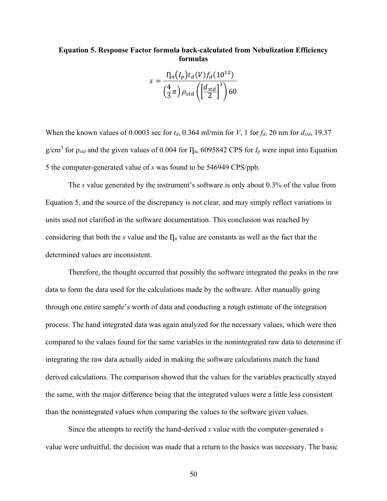#### **Equation 5. Response Factor formula back-calculated from Nebulization Efficiency formulas**

$$
s = \frac{\eta_n(I_p)t_d(V)f_d(10^{12})}{\left(\frac{4}{3}\pi\right)\rho_{std}\left(\left[\frac{d_{std}}{2}\right]^3\right)60}
$$

When the known values of 0.0003 sec for  $t_d$ , 0.364 ml/min for *V*, 1 for  $f_d$ , 20 nm for  $d_{std}$ , 19.37 g/cm<sup>3</sup> for  $\rho_{std}$  and the given values of 0.004 for  $\Pi_n$ , 6095842 CPS for  $I_p$  were input into Equation 5 the computer-generated value of *s* was found to be 546949 CPS/ppb.

The *s* value generated by the instrument's software is only about 0.3% of the value from Equation 5, and the source of the discrepancy is not clear, and may simply reflect variations in units used not clarified in the software documentation. This conclusion was reached by considering that both the *s* value and the  $\eta_n$  value are constants as well as the fact that the determined values are inconsistent.

Therefore, the thought occurred that possibly the software integrated the peaks in the raw data to form the data used for the calculations made by the software. After manually going through one entire sample's worth of data and conducting a rough estimate of the integration process. The hand integrated data was again analyzed for the necessary values, which were then compared to the values found for the same variables in the nonintegrated raw data to determine if integrating the raw data actually aided in making the software calculations match the hand derived calculations. The comparison showed that the values for the variables practically stayed the same, with the major difference being that the integrated values were a little less consistent than the nonintegrated values when comparing the values to the software given values.

Since the attempts to rectify the hand-derived *s* value with the computer-generated s value were unfruitful, the decision was made that a return to the basics was necessary. The basic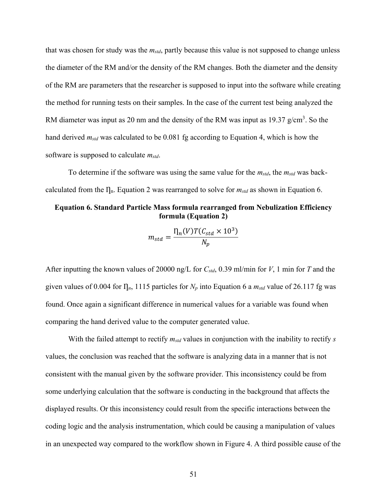that was chosen for study was the *mstd*, partly because this value is not supposed to change unless the diameter of the RM and/or the density of the RM changes. Both the diameter and the density of the RM are parameters that the researcher is supposed to input into the software while creating the method for running tests on their samples. In the case of the current test being analyzed the RM diameter was input as 20 nm and the density of the RM was input as 19.37  $g/cm<sup>3</sup>$ . So the hand derived *mstd* was calculated to be 0.081 fg according to Equation 4, which is how the software is supposed to calculate *mstd*.

To determine if the software was using the same value for the *mstd*, the *mstd* was backcalculated from the  $I_n$ . Equation 2 was rearranged to solve for  $m_{std}$  as shown in Equation 6.

#### **Equation 6. Standard Particle Mass formula rearranged from Nebulization Efficiency formula (Equation 2)**

$$
m_{std} = \frac{\eta_n(V)T(C_{std} \times 10^3)}{N_p}
$$

After inputting the known values of 20000 ng/L for *Cstd*, 0.39 ml/min for *V*, 1 min for *T* and the given values of 0.004 for  $\eta_n$ , 1115 particles for  $N_p$  into Equation 6 a  $m_{std}$  value of 26.117 fg was found. Once again a significant difference in numerical values for a variable was found when comparing the hand derived value to the computer generated value.

With the failed attempt to rectify *mstd* values in conjunction with the inability to rectify *s* values, the conclusion was reached that the software is analyzing data in a manner that is not consistent with the manual given by the software provider. This inconsistency could be from some underlying calculation that the software is conducting in the background that affects the displayed results. Or this inconsistency could result from the specific interactions between the coding logic and the analysis instrumentation, which could be causing a manipulation of values in an unexpected way compared to the workflow shown in Figure 4. A third possible cause of the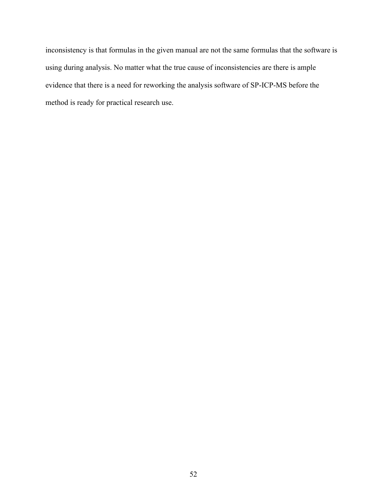inconsistency is that formulas in the given manual are not the same formulas that the software is using during analysis. No matter what the true cause of inconsistencies are there is ample evidence that there is a need for reworking the analysis software of SP-ICP-MS before the method is ready for practical research use.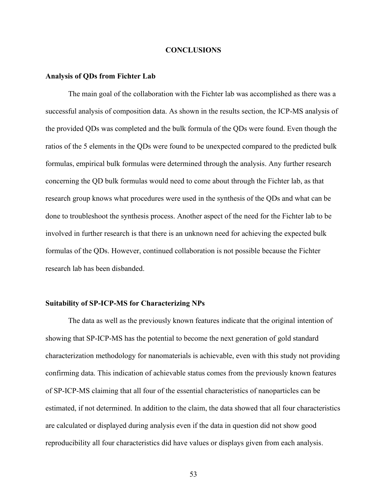#### **CONCLUSIONS**

#### **Analysis of QDs from Fichter Lab**

The main goal of the collaboration with the Fichter lab was accomplished as there was a successful analysis of composition data. As shown in the results section, the ICP-MS analysis of the provided QDs was completed and the bulk formula of the QDs were found. Even though the ratios of the 5 elements in the QDs were found to be unexpected compared to the predicted bulk formulas, empirical bulk formulas were determined through the analysis. Any further research concerning the QD bulk formulas would need to come about through the Fichter lab, as that research group knows what procedures were used in the synthesis of the QDs and what can be done to troubleshoot the synthesis process. Another aspect of the need for the Fichter lab to be involved in further research is that there is an unknown need for achieving the expected bulk formulas of the QDs. However, continued collaboration is not possible because the Fichter research lab has been disbanded.

#### **Suitability of SP-ICP-MS for Characterizing NPs**

The data as well as the previously known features indicate that the original intention of showing that SP-ICP-MS has the potential to become the next generation of gold standard characterization methodology for nanomaterials is achievable, even with this study not providing confirming data. This indication of achievable status comes from the previously known features of SP-ICP-MS claiming that all four of the essential characteristics of nanoparticles can be estimated, if not determined. In addition to the claim, the data showed that all four characteristics are calculated or displayed during analysis even if the data in question did not show good reproducibility all four characteristics did have values or displays given from each analysis.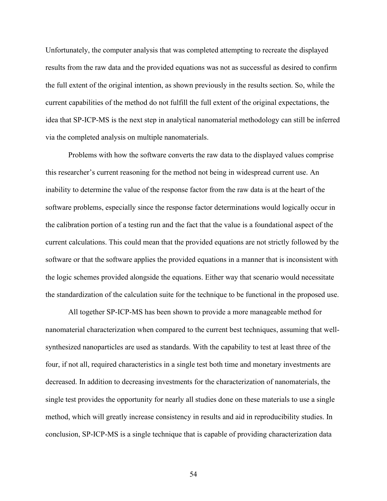Unfortunately, the computer analysis that was completed attempting to recreate the displayed results from the raw data and the provided equations was not as successful as desired to confirm the full extent of the original intention, as shown previously in the results section. So, while the current capabilities of the method do not fulfill the full extent of the original expectations, the idea that SP-ICP-MS is the next step in analytical nanomaterial methodology can still be inferred via the completed analysis on multiple nanomaterials.

Problems with how the software converts the raw data to the displayed values comprise this researcher's current reasoning for the method not being in widespread current use. An inability to determine the value of the response factor from the raw data is at the heart of the software problems, especially since the response factor determinations would logically occur in the calibration portion of a testing run and the fact that the value is a foundational aspect of the current calculations. This could mean that the provided equations are not strictly followed by the software or that the software applies the provided equations in a manner that is inconsistent with the logic schemes provided alongside the equations. Either way that scenario would necessitate the standardization of the calculation suite for the technique to be functional in the proposed use.

All together SP-ICP-MS has been shown to provide a more manageable method for nanomaterial characterization when compared to the current best techniques, assuming that wellsynthesized nanoparticles are used as standards. With the capability to test at least three of the four, if not all, required characteristics in a single test both time and monetary investments are decreased. In addition to decreasing investments for the characterization of nanomaterials, the single test provides the opportunity for nearly all studies done on these materials to use a single method, which will greatly increase consistency in results and aid in reproducibility studies. In conclusion, SP-ICP-MS is a single technique that is capable of providing characterization data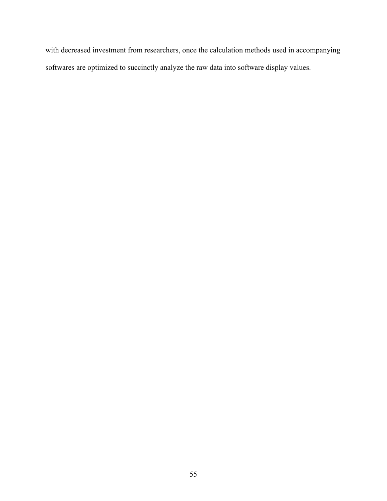with decreased investment from researchers, once the calculation methods used in accompanying softwares are optimized to succinctly analyze the raw data into software display values.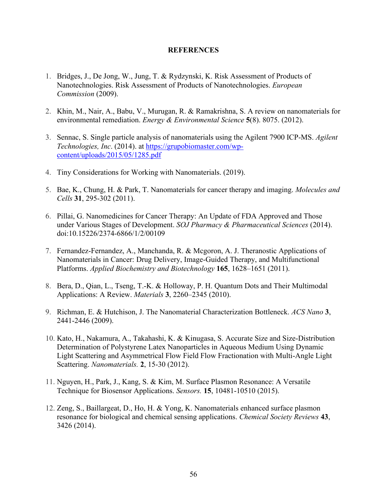#### **REFERENCES**

- 1. Bridges, J., De Jong, W., Jung, T. & Rydzynski, K. Risk Assessment of Products of Nanotechnologies. Risk Assessment of Products of Nanotechnologies. *European Commission* (2009).
- 2. Khin, M., Nair, A., Babu, V., Murugan, R. & Ramakrishna, S. A review on nanomaterials for environmental remediation. *Energy & Environmental Science* **5**(8). 8075. (2012).
- 3. Sennac, S. Single particle analysis of nanomaterials using the Agilent 7900 ICP-MS. *Agilent Technologies, Inc*. (2014). at [https://grupobiomaster.com/wp](https://grupobiomaster.com/wp-content/uploads/2015/05/1285.pdf)[content/uploads/2015/05/1285.pdf](https://grupobiomaster.com/wp-content/uploads/2015/05/1285.pdf)
- 4. Tiny Considerations for Working with Nanomaterials. (2019).
- 5. Bae, K., Chung, H. & Park, T. Nanomaterials for cancer therapy and imaging. *Molecules and Cells* **31**, 295-302 (2011).
- 6. Pillai, G. Nanomedicines for Cancer Therapy: An Update of FDA Approved and Those under Various Stages of Development. *SOJ Pharmacy & Pharmaceutical Sciences* (2014). doi:10.15226/2374-6866/1/2/00109
- 7. Fernandez-Fernandez, A., Manchanda, R. & Mcgoron, A. J. Theranostic Applications of Nanomaterials in Cancer: Drug Delivery, Image-Guided Therapy, and Multifunctional Platforms. *Applied Biochemistry and Biotechnology* **165**, 1628–1651 (2011).
- 8. Bera, D., Qian, L., Tseng, T.-K. & Holloway, P. H. Quantum Dots and Their Multimodal Applications: A Review. *Materials* **3**, 2260–2345 (2010).
- 9. Richman, E. & Hutchison, J. The Nanomaterial Characterization Bottleneck. *ACS Nano* **3**, 2441-2446 (2009).
- 10. Kato, H., Nakamura, A., Takahashi, K. & Kinugasa, S. Accurate Size and Size-Distribution Determination of Polystyrene Latex Nanoparticles in Aqueous Medium Using Dynamic Light Scattering and Asymmetrical Flow Field Flow Fractionation with Multi-Angle Light Scattering. *Nanomaterials.* **2**, 15-30 (2012).
- 11. Nguyen, H., Park, J., Kang, S. & Kim, M. Surface Plasmon Resonance: A Versatile Technique for Biosensor Applications. *Sensors.* **15**, 10481-10510 (2015).
- 12. Zeng, S., Baillargeat, D., Ho, H. & Yong, K. Nanomaterials enhanced surface plasmon resonance for biological and chemical sensing applications. *Chemical Society Reviews* **43**, 3426 (2014).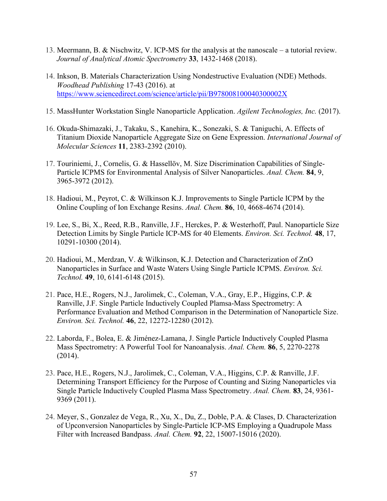- 13. Meermann, B. & Nischwitz, V. ICP-MS for the analysis at the nanoscale a tutorial review. *Journal of Analytical Atomic Spectrometry* **33**, 1432-1468 (2018).
- 14. Inkson, B. Materials Characterization Using Nondestructive Evaluation (NDE) Methods. *Woodhead Publishing* 17-43 (2016). at <https://www.sciencedirect.com/science/article/pii/B978008100040300002X>
- 15. MassHunter Workstation Single Nanoparticle Application. *Agilent Technologies, Inc.* (2017).
- 16. Okuda-Shimazaki, J., Takaku, S., Kanehira, K., Sonezaki, S. & Taniguchi, A. Effects of Titanium Dioxide Nanoparticle Aggregate Size on Gene Expression. *International Journal of Molecular Sciences* **11**, 2383-2392 (2010).
- 17. Touriniemi, J., Cornelis, G. & Hassellöv, M. Size Discrimination Capabilities of Single-Particle ICPMS for Environmental Analysis of Silver Nanoparticles. *Anal. Chem.* **84**, 9, 3965-3972 (2012).
- 18. Hadioui, M., Peyrot, C. & Wilkinson K.J. Improvements to Single Particle ICPM by the Online Coupling of Ion Exchange Resins. *Anal. Chem.* **86**, 10, 4668-4674 (2014).
- 19. Lee, S., Bi, X., Reed, R.B., Ranville, J.F., Herckes, P. & Westerhoff, Paul. Nanoparticle Size Detection Limits by Single Particle ICP-MS for 40 Elements. *Environ. Sci. Technol.* **48**, 17, 10291-10300 (2014).
- 20. Hadioui, M., Merdzan, V. & Wilkinson, K.J. Detection and Characterization of ZnO Nanoparticles in Surface and Waste Waters Using Single Particle ICPMS. *Environ. Sci. Technol.* **49**, 10, 6141-6148 (2015).
- 21. Pace, H.E., Rogers, N.J., Jarolimek, C., Coleman, V.A., Gray, E.P., Higgins, C.P. & Ranville, J.F. Single Particle Inductively Coupled Plamsa-Mass Spectrometry: A Performance Evaluation and Method Comparison in the Determination of Nanoparticle Size. *Environ. Sci. Technol.* **46**, 22, 12272-12280 (2012).
- 22. Laborda, F., Bolea, E. & Jiménez-Lamana, J. Single Particle Inductively Coupled Plasma Mass Spectrometry: A Powerful Tool for Nanoanalysis. *Anal. Chem.* **86**, 5, 2270-2278 (2014).
- 23. Pace, H.E., Rogers, N.J., Jarolimek, C., Coleman, V.A., Higgins, C.P. & Ranville, J.F. Determining Transport Efficiency for the Purpose of Counting and Sizing Nanoparticles via Single Particle Inductively Coupled Plasma Mass Spectrometry. *Anal. Chem.* **83**, 24, 9361- 9369 (2011).
- 24. Meyer, S., Gonzalez de Vega, R., Xu, X., Du, Z., Doble, P.A. & Clases, D. Characterization of Upconversion Nanoparticles by Single-Particle ICP-MS Employing a Quadrupole Mass Filter with Increased Bandpass. *Anal. Chem.* **92**, 22, 15007-15016 (2020).